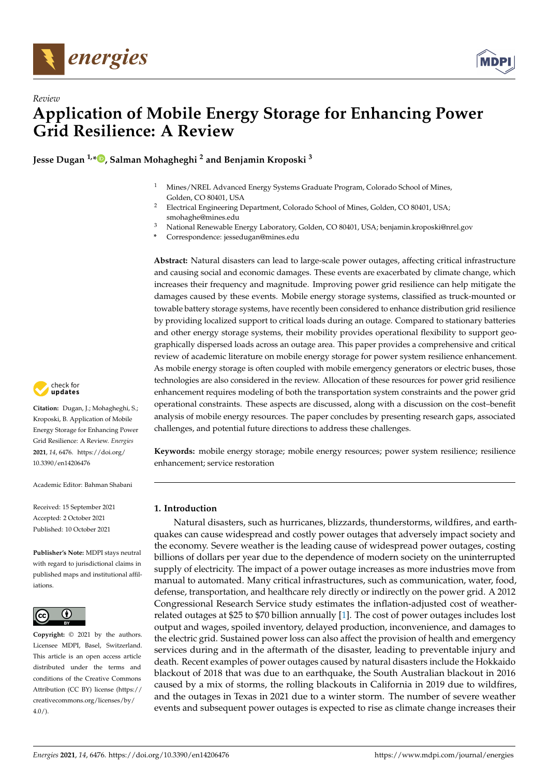



# *Review* **Application of Mobile Energy Storage for Enhancing Power Grid Resilience: A Review**

**Jesse Dugan 1,[\\*](https://orcid.org/0000-0003-0703-429X) , Salman Mohagheghi <sup>2</sup> and Benjamin Kroposki <sup>3</sup>**

- <sup>1</sup> Mines/NREL Advanced Energy Systems Graduate Program, Colorado School of Mines, Golden, CO 80401, USA
- <sup>2</sup> Electrical Engineering Department, Colorado School of Mines, Golden, CO 80401, USA; smohaghe@mines.edu
- <sup>3</sup> National Renewable Energy Laboratory, Golden, CO 80401, USA; benjamin.kroposki@nrel.gov
- **\*** Correspondence: jessedugan@mines.edu

**Abstract:** Natural disasters can lead to large-scale power outages, affecting critical infrastructure and causing social and economic damages. These events are exacerbated by climate change, which increases their frequency and magnitude. Improving power grid resilience can help mitigate the damages caused by these events. Mobile energy storage systems, classified as truck-mounted or towable battery storage systems, have recently been considered to enhance distribution grid resilience by providing localized support to critical loads during an outage. Compared to stationary batteries and other energy storage systems, their mobility provides operational flexibility to support geographically dispersed loads across an outage area. This paper provides a comprehensive and critical review of academic literature on mobile energy storage for power system resilience enhancement. As mobile energy storage is often coupled with mobile emergency generators or electric buses, those technologies are also considered in the review. Allocation of these resources for power grid resilience enhancement requires modeling of both the transportation system constraints and the power grid operational constraints. These aspects are discussed, along with a discussion on the cost–benefit analysis of mobile energy resources. The paper concludes by presenting research gaps, associated challenges, and potential future directions to address these challenges.

**Keywords:** mobile energy storage; mobile energy resources; power system resilience; resilience enhancement; service restoration

## **1. Introduction**

Natural disasters, such as hurricanes, blizzards, thunderstorms, wildfires, and earthquakes can cause widespread and costly power outages that adversely impact society and the economy. Severe weather is the leading cause of widespread power outages, costing billions of dollars per year due to the dependence of modern society on the uninterrupted supply of electricity. The impact of a power outage increases as more industries move from manual to automated. Many critical infrastructures, such as communication, water, food, defense, transportation, and healthcare rely directly or indirectly on the power grid. A 2012 Congressional Research Service study estimates the inflation-adjusted cost of weatherrelated outages at \$25 to \$70 billion annually [\[1\]](#page-15-0). The cost of power outages includes lost output and wages, spoiled inventory, delayed production, inconvenience, and damages to the electric grid. Sustained power loss can also affect the provision of health and emergency services during and in the aftermath of the disaster, leading to preventable injury and death. Recent examples of power outages caused by natural disasters include the Hokkaido blackout of 2018 that was due to an earthquake, the South Australian blackout in 2016 caused by a mix of storms, the rolling blackouts in California in 2019 due to wildfires, and the outages in Texas in 2021 due to a winter storm. The number of severe weather events and subsequent power outages is expected to rise as climate change increases their



**Citation:** Dugan, J.; Mohagheghi, S.; Kroposki, B. Application of Mobile Energy Storage for Enhancing Power Grid Resilience: A Review. *Energies* **2021**, *14*, 6476. [https://doi.org/](https://doi.org/10.3390/en14206476) [10.3390/en14206476](https://doi.org/10.3390/en14206476)

Academic Editor: Bahman Shabani

Received: 15 September 2021 Accepted: 2 October 2021 Published: 10 October 2021

**Publisher's Note:** MDPI stays neutral with regard to jurisdictional claims in published maps and institutional affiliations.



**Copyright:** © 2021 by the authors. Licensee MDPI, Basel, Switzerland. This article is an open access article distributed under the terms and conditions of the Creative Commons Attribution (CC BY) license (https:/[/](https://creativecommons.org/licenses/by/4.0/) [creativecommons.org/licenses/by/](https://creativecommons.org/licenses/by/4.0/)  $4.0/$ ).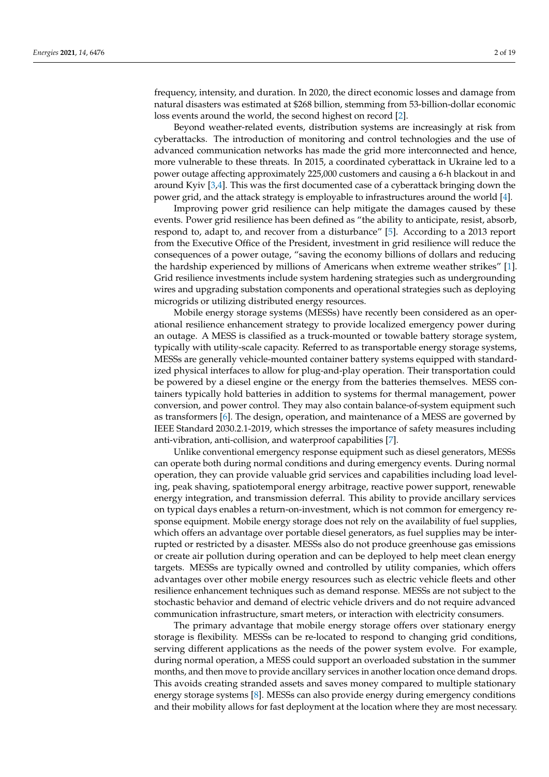frequency, intensity, and duration. In 2020, the direct economic losses and damage from natural disasters was estimated at \$268 billion, stemming from 53-billion-dollar economic loss events around the world, the second highest on record [\[2\]](#page-15-1).

Beyond weather-related events, distribution systems are increasingly at risk from cyberattacks. The introduction of monitoring and control technologies and the use of advanced communication networks has made the grid more interconnected and hence, more vulnerable to these threats. In 2015, a coordinated cyberattack in Ukraine led to a power outage affecting approximately 225,000 customers and causing a 6-h blackout in and around Kyiv [\[3,](#page-16-0)[4\]](#page-16-1). This was the first documented case of a cyberattack bringing down the power grid, and the attack strategy is employable to infrastructures around the world [\[4\]](#page-16-1).

Improving power grid resilience can help mitigate the damages caused by these events. Power grid resilience has been defined as "the ability to anticipate, resist, absorb, respond to, adapt to, and recover from a disturbance" [\[5\]](#page-16-2). According to a 2013 report from the Executive Office of the President, investment in grid resilience will reduce the consequences of a power outage, "saving the economy billions of dollars and reducing the hardship experienced by millions of Americans when extreme weather strikes" [\[1\]](#page-15-0). Grid resilience investments include system hardening strategies such as undergrounding wires and upgrading substation components and operational strategies such as deploying microgrids or utilizing distributed energy resources.

Mobile energy storage systems (MESSs) have recently been considered as an operational resilience enhancement strategy to provide localized emergency power during an outage. A MESS is classified as a truck-mounted or towable battery storage system, typically with utility-scale capacity. Referred to as transportable energy storage systems, MESSs are generally vehicle-mounted container battery systems equipped with standardized physical interfaces to allow for plug-and-play operation. Their transportation could be powered by a diesel engine or the energy from the batteries themselves. MESS containers typically hold batteries in addition to systems for thermal management, power conversion, and power control. They may also contain balance-of-system equipment such as transformers [\[6\]](#page-16-3). The design, operation, and maintenance of a MESS are governed by IEEE Standard 2030.2.1-2019, which stresses the importance of safety measures including anti-vibration, anti-collision, and waterproof capabilities [\[7\]](#page-16-4).

Unlike conventional emergency response equipment such as diesel generators, MESSs can operate both during normal conditions and during emergency events. During normal operation, they can provide valuable grid services and capabilities including load leveling, peak shaving, spatiotemporal energy arbitrage, reactive power support, renewable energy integration, and transmission deferral. This ability to provide ancillary services on typical days enables a return-on-investment, which is not common for emergency response equipment. Mobile energy storage does not rely on the availability of fuel supplies, which offers an advantage over portable diesel generators, as fuel supplies may be interrupted or restricted by a disaster. MESSs also do not produce greenhouse gas emissions or create air pollution during operation and can be deployed to help meet clean energy targets. MESSs are typically owned and controlled by utility companies, which offers advantages over other mobile energy resources such as electric vehicle fleets and other resilience enhancement techniques such as demand response. MESSs are not subject to the stochastic behavior and demand of electric vehicle drivers and do not require advanced communication infrastructure, smart meters, or interaction with electricity consumers.

The primary advantage that mobile energy storage offers over stationary energy storage is flexibility. MESSs can be re-located to respond to changing grid conditions, serving different applications as the needs of the power system evolve. For example, during normal operation, a MESS could support an overloaded substation in the summer months, and then move to provide ancillary services in another location once demand drops. This avoids creating stranded assets and saves money compared to multiple stationary energy storage systems [\[8\]](#page-16-5). MESSs can also provide energy during emergency conditions and their mobility allows for fast deployment at the location where they are most necessary.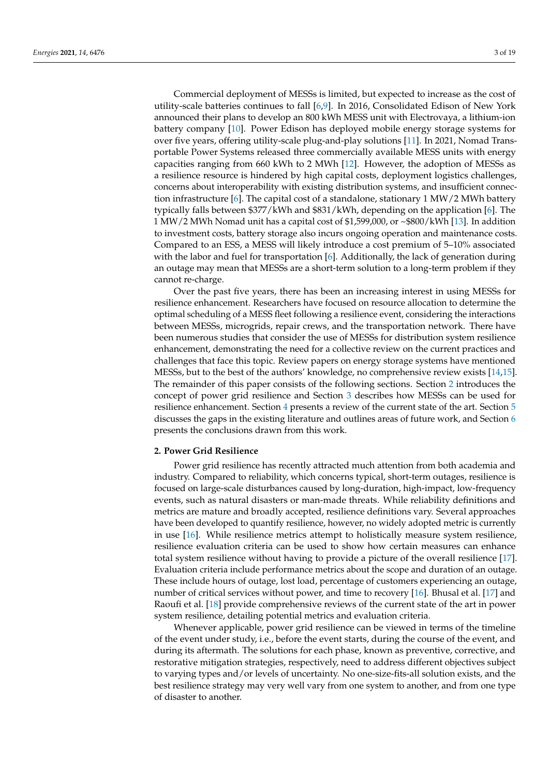Commercial deployment of MESSs is limited, but expected to increase as the cost of utility-scale batteries continues to fall [\[6,](#page-16-3)[9\]](#page-16-6). In 2016, Consolidated Edison of New York announced their plans to develop an 800 kWh MESS unit with Electrovaya, a lithium-ion battery company [\[10\]](#page-16-7). Power Edison has deployed mobile energy storage systems for over five years, offering utility-scale plug-and-play solutions [\[11\]](#page-16-8). In 2021, Nomad Transportable Power Systems released three commercially available MESS units with energy capacities ranging from 660 kWh to 2 MWh [\[12\]](#page-16-9). However, the adoption of MESSs as a resilience resource is hindered by high capital costs, deployment logistics challenges, concerns about interoperability with existing distribution systems, and insufficient connec-tion infrastructure [\[6\]](#page-16-3). The capital cost of a standalone, stationary 1 MW/2 MWh battery typically falls between \$377/kWh and \$831/kWh, depending on the application [\[6\]](#page-16-3). The 1 MW/2 MWh Nomad unit has a capital cost of \$1,599,000, or ~\$800/kWh [\[13\]](#page-16-10). In addition to investment costs, battery storage also incurs ongoing operation and maintenance costs. Compared to an ESS, a MESS will likely introduce a cost premium of 5–10% associated with the labor and fuel for transportation [\[6\]](#page-16-3). Additionally, the lack of generation during an outage may mean that MESSs are a short-term solution to a long-term problem if they cannot re-charge.

Over the past five years, there has been an increasing interest in using MESSs for resilience enhancement. Researchers have focused on resource allocation to determine the optimal scheduling of a MESS fleet following a resilience event, considering the interactions between MESSs, microgrids, repair crews, and the transportation network. There have been numerous studies that consider the use of MESSs for distribution system resilience enhancement, demonstrating the need for a collective review on the current practices and challenges that face this topic. Review papers on energy storage systems have mentioned MESSs, but to the best of the authors' knowledge, no comprehensive review exists [\[14](#page-16-11)[,15\]](#page-16-12). The remainder of this paper consists of the following sections. Section [2](#page-2-0) introduces the concept of power grid resilience and Section [3](#page-3-0) describes how MESSs can be used for resilience enhancement. Section [4](#page-5-0) presents a review of the current state of the art. Section [5](#page-13-0) discusses the gaps in the existing literature and outlines areas of future work, and Section [6](#page-14-0) presents the conclusions drawn from this work.

#### <span id="page-2-0"></span>**2. Power Grid Resilience**

Power grid resilience has recently attracted much attention from both academia and industry. Compared to reliability, which concerns typical, short-term outages, resilience is focused on large-scale disturbances caused by long-duration, high-impact, low-frequency events, such as natural disasters or man-made threats. While reliability definitions and metrics are mature and broadly accepted, resilience definitions vary. Several approaches have been developed to quantify resilience, however, no widely adopted metric is currently in use [\[16\]](#page-16-13). While resilience metrics attempt to holistically measure system resilience, resilience evaluation criteria can be used to show how certain measures can enhance total system resilience without having to provide a picture of the overall resilience [\[17\]](#page-16-14). Evaluation criteria include performance metrics about the scope and duration of an outage. These include hours of outage, lost load, percentage of customers experiencing an outage, number of critical services without power, and time to recovery [\[16\]](#page-16-13). Bhusal et al. [\[17\]](#page-16-14) and Raoufi et al. [\[18\]](#page-16-15) provide comprehensive reviews of the current state of the art in power system resilience, detailing potential metrics and evaluation criteria.

Whenever applicable, power grid resilience can be viewed in terms of the timeline of the event under study, i.e., before the event starts, during the course of the event, and during its aftermath. The solutions for each phase, known as preventive, corrective, and restorative mitigation strategies, respectively, need to address different objectives subject to varying types and/or levels of uncertainty. No one-size-fits-all solution exists, and the best resilience strategy may very well vary from one system to another, and from one type of disaster to another.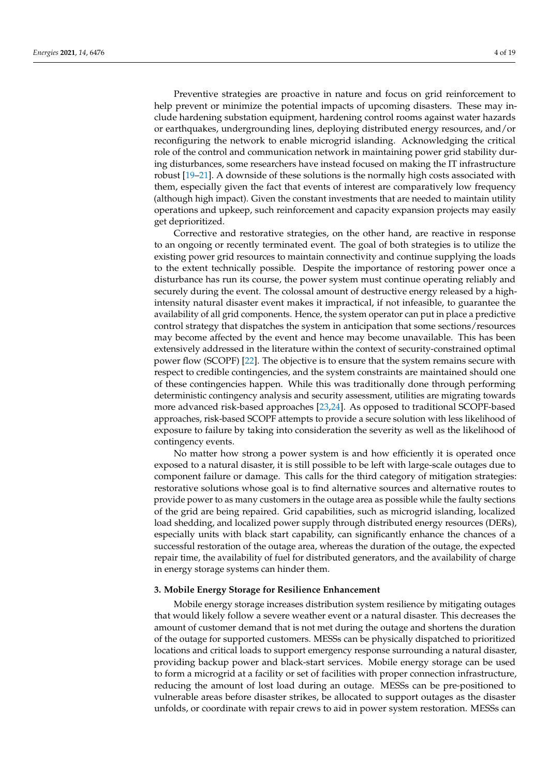Preventive strategies are proactive in nature and focus on grid reinforcement to help prevent or minimize the potential impacts of upcoming disasters. These may include hardening substation equipment, hardening control rooms against water hazards or earthquakes, undergrounding lines, deploying distributed energy resources, and/or reconfiguring the network to enable microgrid islanding. Acknowledging the critical role of the control and communication network in maintaining power grid stability during disturbances, some researchers have instead focused on making the IT infrastructure robust [\[19](#page-16-16)[–21\]](#page-16-17). A downside of these solutions is the normally high costs associated with them, especially given the fact that events of interest are comparatively low frequency (although high impact). Given the constant investments that are needed to maintain utility operations and upkeep, such reinforcement and capacity expansion projects may easily

Corrective and restorative strategies, on the other hand, are reactive in response to an ongoing or recently terminated event. The goal of both strategies is to utilize the existing power grid resources to maintain connectivity and continue supplying the loads to the extent technically possible. Despite the importance of restoring power once a disturbance has run its course, the power system must continue operating reliably and securely during the event. The colossal amount of destructive energy released by a highintensity natural disaster event makes it impractical, if not infeasible, to guarantee the availability of all grid components. Hence, the system operator can put in place a predictive control strategy that dispatches the system in anticipation that some sections/resources may become affected by the event and hence may become unavailable. This has been extensively addressed in the literature within the context of security-constrained optimal power flow (SCOPF) [\[22\]](#page-16-18). The objective is to ensure that the system remains secure with respect to credible contingencies, and the system constraints are maintained should one of these contingencies happen. While this was traditionally done through performing deterministic contingency analysis and security assessment, utilities are migrating towards more advanced risk-based approaches [\[23,](#page-16-19)[24\]](#page-16-20). As opposed to traditional SCOPF-based approaches, risk-based SCOPF attempts to provide a secure solution with less likelihood of exposure to failure by taking into consideration the severity as well as the likelihood of contingency events.

No matter how strong a power system is and how efficiently it is operated once exposed to a natural disaster, it is still possible to be left with large-scale outages due to component failure or damage. This calls for the third category of mitigation strategies: restorative solutions whose goal is to find alternative sources and alternative routes to provide power to as many customers in the outage area as possible while the faulty sections of the grid are being repaired. Grid capabilities, such as microgrid islanding, localized load shedding, and localized power supply through distributed energy resources (DERs), especially units with black start capability, can significantly enhance the chances of a successful restoration of the outage area, whereas the duration of the outage, the expected repair time, the availability of fuel for distributed generators, and the availability of charge in energy storage systems can hinder them.

## <span id="page-3-0"></span>**3. Mobile Energy Storage for Resilience Enhancement**

get deprioritized.

Mobile energy storage increases distribution system resilience by mitigating outages that would likely follow a severe weather event or a natural disaster. This decreases the amount of customer demand that is not met during the outage and shortens the duration of the outage for supported customers. MESSs can be physically dispatched to prioritized locations and critical loads to support emergency response surrounding a natural disaster, providing backup power and black-start services. Mobile energy storage can be used to form a microgrid at a facility or set of facilities with proper connection infrastructure, reducing the amount of lost load during an outage. MESSs can be pre-positioned to vulnerable areas before disaster strikes, be allocated to support outages as the disaster unfolds, or coordinate with repair crews to aid in power system restoration. MESSs can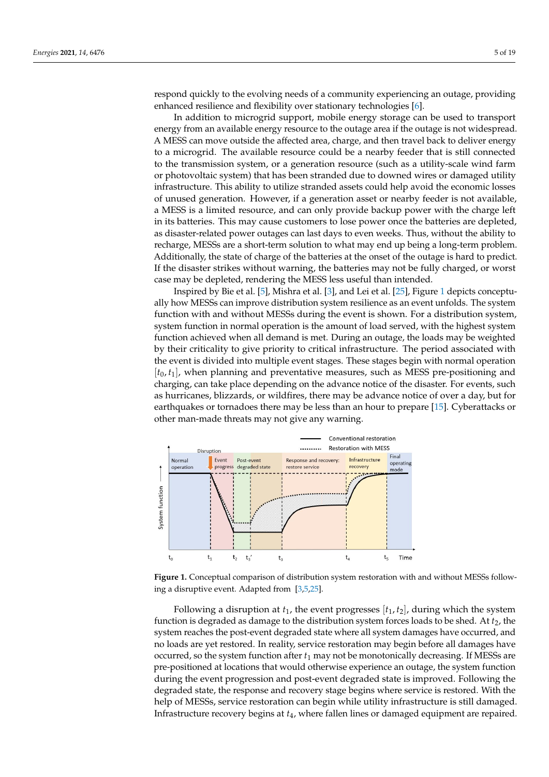respond quickly to the evolving needs of a community experiencing an outage, providing enhanced resilience and flexibility over stationary technologies [\[6\]](#page-16-3).

In addition to microgrid support, mobile energy storage can be used to transport energy from an available energy resource to the outage area if the outage is not widespread. A MESS can move outside the affected area, charge, and then travel back to deliver energy to a microgrid. The available resource could be a nearby feeder that is still connected to the transmission system, or a generation resource (such as a utility-scale wind farm or photovoltaic system) that has been stranded due to downed wires or damaged utility infrastructure. This ability to utilize stranded assets could help avoid the economic losses of unused generation. However, if a generation asset or nearby feeder is not available, a MESS is a limited resource, and can only provide backup power with the charge left in its batteries. This may cause customers to lose power once the batteries are depleted, as disaster-related power outages can last days to even weeks. Thus, without the ability to recharge, MESSs are a short-term solution to what may end up being a long-term problem. Additionally, the state of charge of the batteries at the onset of the outage is hard to predict. If the disaster strikes without warning, the batteries may not be fully charged, or worst case may be depleted, rendering the MESS less useful than intended.

Inspired by Bie et al. [\[5\]](#page-16-2), Mishra et al. [\[3\]](#page-16-0), and Lei et al. [\[25\]](#page-16-21), Figure [1](#page-4-0) depicts conceptually how MESSs can improve distribution system resilience as an event unfolds. The system function with and without MESSs during the event is shown. For a distribution system, system function in normal operation is the amount of load served, with the highest system function achieved when all demand is met. During an outage, the loads may be weighted by their criticality to give priority to critical infrastructure. The period associated with the event is divided into multiple event stages. These stages begin with normal operation [*t*0, *t*1], when planning and preventative measures, such as MESS pre-positioning and charging, can take place depending on the advance notice of the disaster. For events, such as hurricanes, blizzards, or wildfires, there may be advance notice of over a day, but for earthquakes or tornadoes there may be less than an hour to prepare [\[15\]](#page-16-12). Cyberattacks or other man-made threats may not give any warning.

<span id="page-4-0"></span>

**Figure 1.** Conceptual comparison of distribution system restoration with and without MESSs following a disruptive event. Adapted from [\[3,](#page-16-0)[5,](#page-16-2)[25\]](#page-16-21).

Following a disruption at  $t_1$ , the event progresses  $[t_1, t_2]$ , during which the system function is degraded as damage to the distribution system forces loads to be shed. At  $t<sub>2</sub>$ , the system reaches the post-event degraded state where all system damages have occurred, and no loads are yet restored. In reality, service restoration may begin before all damages have occurred, so the system function after *t*<sup>1</sup> may not be monotonically decreasing. If MESSs are pre-positioned at locations that would otherwise experience an outage, the system function during the event progression and post-event degraded state is improved. Following the degraded state, the response and recovery stage begins where service is restored. With the help of MESSs, service restoration can begin while utility infrastructure is still damaged. Infrastructure recovery begins at *t*4, where fallen lines or damaged equipment are repaired.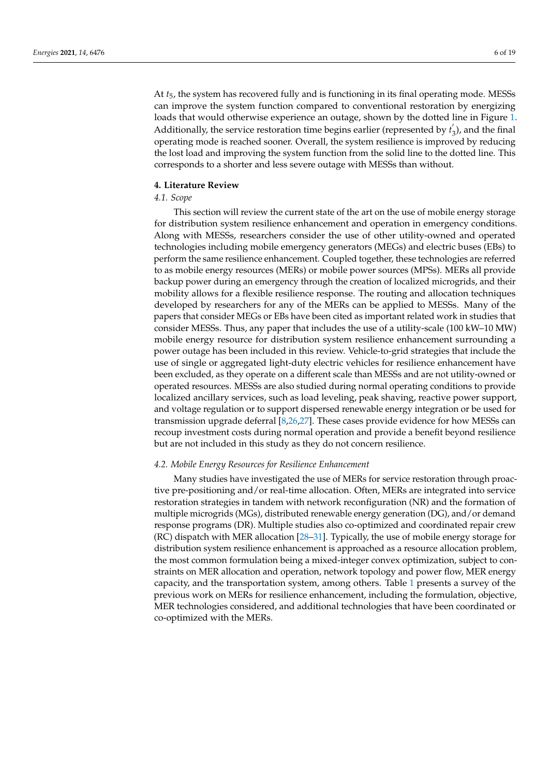At *t*5, the system has recovered fully and is functioning in its final operating mode. MESSs can improve the system function compared to conventional restoration by energizing loads that would otherwise experience an outage, shown by the dotted line in Figure [1.](#page-4-0) Additionally, the service restoration time begins earlier (represented by *t* 0  $\epsilon$ <sub>3</sub>), and the final operating mode is reached sooner. Overall, the system resilience is improved by reducing the lost load and improving the system function from the solid line to the dotted line. This corresponds to a shorter and less severe outage with MESSs than without.

## <span id="page-5-0"></span>**4. Literature Review**

# *4.1. Scope*

This section will review the current state of the art on the use of mobile energy storage for distribution system resilience enhancement and operation in emergency conditions. Along with MESSs, researchers consider the use of other utility-owned and operated technologies including mobile emergency generators (MEGs) and electric buses (EBs) to perform the same resilience enhancement. Coupled together, these technologies are referred to as mobile energy resources (MERs) or mobile power sources (MPSs). MERs all provide backup power during an emergency through the creation of localized microgrids, and their mobility allows for a flexible resilience response. The routing and allocation techniques developed by researchers for any of the MERs can be applied to MESSs. Many of the papers that consider MEGs or EBs have been cited as important related work in studies that consider MESSs. Thus, any paper that includes the use of a utility-scale (100 kW–10 MW) mobile energy resource for distribution system resilience enhancement surrounding a power outage has been included in this review. Vehicle-to-grid strategies that include the use of single or aggregated light-duty electric vehicles for resilience enhancement have been excluded, as they operate on a different scale than MESSs and are not utility-owned or operated resources. MESSs are also studied during normal operating conditions to provide localized ancillary services, such as load leveling, peak shaving, reactive power support, and voltage regulation or to support dispersed renewable energy integration or be used for transmission upgrade deferral [\[8](#page-16-5)[,26,](#page-16-22)[27\]](#page-16-23). These cases provide evidence for how MESSs can recoup investment costs during normal operation and provide a benefit beyond resilience but are not included in this study as they do not concern resilience.

#### *4.2. Mobile Energy Resources for Resilience Enhancement*

Many studies have investigated the use of MERs for service restoration through proactive pre-positioning and/or real-time allocation. Often, MERs are integrated into service restoration strategies in tandem with network reconfiguration (NR) and the formation of multiple microgrids (MGs), distributed renewable energy generation (DG), and/or demand response programs (DR). Multiple studies also co-optimized and coordinated repair crew (RC) dispatch with MER allocation [\[28–](#page-16-24)[31\]](#page-17-0). Typically, the use of mobile energy storage for distribution system resilience enhancement is approached as a resource allocation problem, the most common formulation being a mixed-integer convex optimization, subject to constraints on MER allocation and operation, network topology and power flow, MER energy capacity, and the transportation system, among others. Table [1](#page-6-0) presents a survey of the previous work on MERs for resilience enhancement, including the formulation, objective, MER technologies considered, and additional technologies that have been coordinated or co-optimized with the MERs.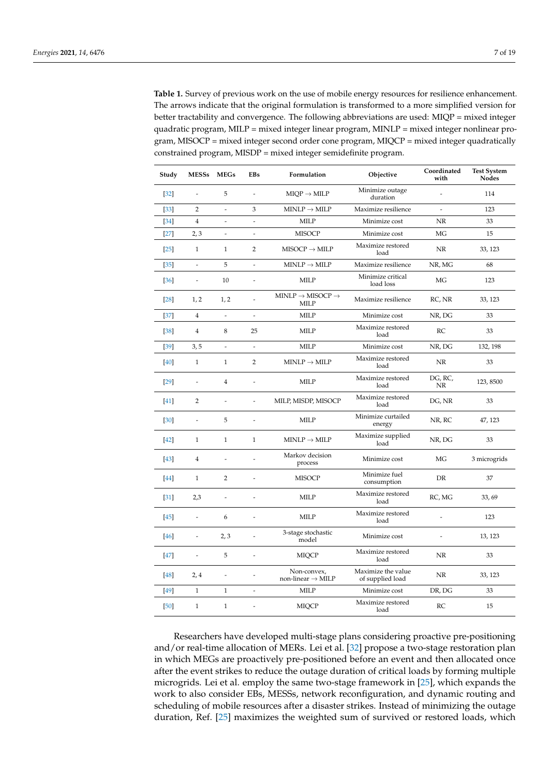<span id="page-6-0"></span>**Table 1.** Survey of previous work on the use of mobile energy resources for resilience enhancement. The arrows indicate that the original formulation is transformed to a more simplified version for better tractability and convergence. The following abbreviations are used: MIQP = mixed integer quadratic program, MILP = mixed integer linear program, MINLP = mixed integer nonlinear program, MISOCP = mixed integer second order cone program, MIQCP = mixed integer quadratically constrained program, MISDP = mixed integer semidefinite program.

| Study  | MESSs MEGs               |                          | <b>EBs</b>               | Formulation                                                         | Objective                              | Coordinated<br>with      | <b>Test System</b><br><b>Nodes</b> |
|--------|--------------------------|--------------------------|--------------------------|---------------------------------------------------------------------|----------------------------------------|--------------------------|------------------------------------|
| $[32]$ | $\overline{a}$           | 5                        | $\frac{1}{2}$            | $MIOP \rightarrow MILP$                                             | Minimize outage<br>duration            | $\overline{a}$           | 114                                |
| $[33]$ | $\overline{2}$           | $\overline{a}$           | 3                        | $\text{MINLP} \rightarrow \text{MLP}$                               | Maximize resilience                    | $\overline{a}$           | 123                                |
| $[34]$ | $\overline{4}$           | $\overline{a}$           | $\overline{\phantom{a}}$ | <b>MILP</b>                                                         | Minimize cost                          | NR                       | 33                                 |
| $[27]$ | 2,3                      | $\frac{1}{2}$            | $\overline{a}$           | <b>MISOCP</b>                                                       | Minimize cost                          | MG                       | 15                                 |
| $[25]$ | $\mathbf{1}$             | $\mathbf{1}$             | $\overline{2}$           | $MISOCP \rightarrow MILP$                                           | Maximize restored<br>load              | <b>NR</b>                | 33, 123                            |
| $[35]$ | $\overline{\phantom{a}}$ | 5                        | $\overline{\phantom{a}}$ | $MINLP \rightarrow MILP$                                            | Maximize resilience                    | NR, MG                   | 68                                 |
| $[36]$ | $\overline{\phantom{a}}$ | 10                       | $\overline{a}$           | <b>MILP</b>                                                         | Minimize critical<br>load loss         | MG                       | 123                                |
| $[28]$ | 1, 2                     | 1, 2                     |                          | $\text{MINLP} \rightarrow \text{MISOCP} \rightarrow$<br><b>MILP</b> | Maximize resilience                    | RC, NR                   | 33, 123                            |
| $[37]$ | $\overline{4}$           | $\overline{a}$           | $\frac{1}{2}$            | <b>MILP</b>                                                         | Minimize cost                          | NR, DG                   | 33                                 |
| $[38]$ | $\overline{4}$           | 8                        | 25                       | <b>MILP</b>                                                         | Maximize restored<br>load              | RC                       | 33                                 |
| $[39]$ | 3,5                      | $\overline{\phantom{a}}$ | $\overline{\phantom{a}}$ | <b>MILP</b>                                                         | Minimize cost                          | NR, DG                   | 132, 198                           |
| $[40]$ | $\mathbf{1}$             | $\mathbf{1}$             | $\overline{2}$           | $MINLP \rightarrow MILP$                                            | Maximize restored<br>load              | <b>NR</b>                | 33                                 |
| [29]   | $\frac{1}{2}$            | $\overline{4}$           | $\overline{a}$           | MILP                                                                | Maximize restored<br>load              | DG, RC,<br><b>NR</b>     | 123,8500                           |
| $[41]$ | 2                        | $\overline{a}$           | $\overline{a}$           | MILP, MISDP, MISOCP                                                 | Maximize restored<br>load              | DG, NR                   | 33                                 |
| [30]   | $\overline{\phantom{a}}$ | 5                        | $\frac{1}{2}$            | <b>MILP</b>                                                         | Minimize curtailed<br>energy           | NR, RC                   | 47, 123                            |
| $[42]$ | $\mathbf{1}$             | $\mathbf{1}$             | $\mathbf{1}$             | $MINLP \rightarrow MILP$                                            | Maximize supplied<br>load              | NR, DG                   | 33                                 |
| [43]   | 4                        | $\overline{a}$           |                          | Markov decision<br>process                                          | Minimize cost                          | MG                       | 3 microgrids                       |
| [44]   | $\mathbf{1}$             | $\overline{2}$           | $\overline{a}$           | <b>MISOCP</b>                                                       | Minimize fuel<br>consumption           | DR                       | 37                                 |
| $[31]$ | 2,3                      | $\overline{a}$           | $\overline{a}$           | <b>MILP</b>                                                         | Maximize restored<br>load              | RC, MG                   | 33,69                              |
| $[45]$ | $\overline{\phantom{a}}$ | 6                        | $\frac{1}{2}$            | MILP                                                                | Maximize restored<br>load              | $\overline{a}$           | 123                                |
| $[46]$ | $\overline{\phantom{a}}$ | 2, 3                     | $\overline{a}$           | 3-stage stochastic<br>model                                         | Minimize cost                          | $\overline{\phantom{a}}$ | 13, 123                            |
| $[47]$ | $\overline{\phantom{a}}$ | 5                        | $\overline{a}$           | <b>MIQCP</b>                                                        | Maximize restored<br>load              | NR                       | 33                                 |
| $[48]$ | 2,4                      | $\overline{a}$           | $\overline{a}$           | Non-convex.<br>non-linear $\rightarrow$ MILP                        | Maximize the value<br>of supplied load | <b>NR</b>                | 33, 123                            |
| $[49]$ | $\mathbf{1}$             | $\mathbf{1}$             | $\overline{\phantom{a}}$ | <b>MILP</b>                                                         | Minimize cost                          | DR, DG                   | 33                                 |
| $[50]$ | $\mathbf{1}$             | $\mathbf{1}$             | $\overline{a}$           | <b>MIQCP</b>                                                        | Maximize restored<br>load              | RC                       | 15                                 |

Researchers have developed multi-stage plans considering proactive pre-positioning and/or real-time allocation of MERs. Lei et al. [\[32\]](#page-17-1) propose a two-stage restoration plan in which MEGs are proactively pre-positioned before an event and then allocated once after the event strikes to reduce the outage duration of critical loads by forming multiple microgrids. Lei et al. employ the same two-stage framework in [\[25\]](#page-16-21), which expands the work to also consider EBs, MESSs, network reconfiguration, and dynamic routing and scheduling of mobile resources after a disaster strikes. Instead of minimizing the outage duration, Ref. [\[25\]](#page-16-21) maximizes the weighted sum of survived or restored loads, which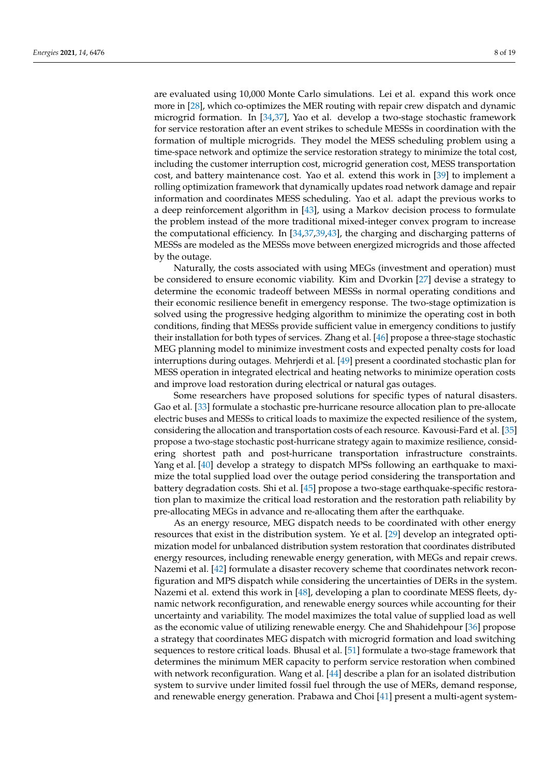are evaluated using 10,000 Monte Carlo simulations. Lei et al. expand this work once more in [\[28\]](#page-16-24), which co-optimizes the MER routing with repair crew dispatch and dynamic microgrid formation. In [\[34](#page-17-3)[,37\]](#page-17-6), Yao et al. develop a two-stage stochastic framework for service restoration after an event strikes to schedule MESSs in coordination with the formation of multiple microgrids. They model the MESS scheduling problem using a time-space network and optimize the service restoration strategy to minimize the total cost, including the customer interruption cost, microgrid generation cost, MESS transportation cost, and battery maintenance cost. Yao et al. extend this work in [\[39\]](#page-17-8) to implement a rolling optimization framework that dynamically updates road network damage and repair information and coordinates MESS scheduling. Yao et al. adapt the previous works to a deep reinforcement algorithm in [\[43\]](#page-17-12), using a Markov decision process to formulate the problem instead of the more traditional mixed-integer convex program to increase the computational efficiency. In [\[34,](#page-17-3)[37,](#page-17-6)[39,](#page-17-8)[43\]](#page-17-12), the charging and discharging patterns of MESSs are modeled as the MESSs move between energized microgrids and those affected by the outage.

Naturally, the costs associated with using MEGs (investment and operation) must be considered to ensure economic viability. Kim and Dvorkin [\[27\]](#page-16-23) devise a strategy to determine the economic tradeoff between MESSs in normal operating conditions and their economic resilience benefit in emergency response. The two-stage optimization is solved using the progressive hedging algorithm to minimize the operating cost in both conditions, finding that MESSs provide sufficient value in emergency conditions to justify their installation for both types of services. Zhang et al. [\[46\]](#page-17-15) propose a three-stage stochastic MEG planning model to minimize investment costs and expected penalty costs for load interruptions during outages. Mehrjerdi et al. [\[49\]](#page-17-18) present a coordinated stochastic plan for MESS operation in integrated electrical and heating networks to minimize operation costs and improve load restoration during electrical or natural gas outages.

Some researchers have proposed solutions for specific types of natural disasters. Gao et al. [\[33\]](#page-17-2) formulate a stochastic pre-hurricane resource allocation plan to pre-allocate electric buses and MESSs to critical loads to maximize the expected resilience of the system, considering the allocation and transportation costs of each resource. Kavousi-Fard et al. [\[35\]](#page-17-4) propose a two-stage stochastic post-hurricane strategy again to maximize resilience, considering shortest path and post-hurricane transportation infrastructure constraints. Yang et al. [\[40\]](#page-17-9) develop a strategy to dispatch MPSs following an earthquake to maximize the total supplied load over the outage period considering the transportation and battery degradation costs. Shi et al. [\[45\]](#page-17-14) propose a two-stage earthquake-specific restoration plan to maximize the critical load restoration and the restoration path reliability by pre-allocating MEGs in advance and re-allocating them after the earthquake.

As an energy resource, MEG dispatch needs to be coordinated with other energy resources that exist in the distribution system. Ye et al. [\[29\]](#page-16-25) develop an integrated optimization model for unbalanced distribution system restoration that coordinates distributed energy resources, including renewable energy generation, with MEGs and repair crews. Nazemi et al. [\[42\]](#page-17-11) formulate a disaster recovery scheme that coordinates network reconfiguration and MPS dispatch while considering the uncertainties of DERs in the system. Nazemi et al. extend this work in [\[48\]](#page-17-17), developing a plan to coordinate MESS fleets, dynamic network reconfiguration, and renewable energy sources while accounting for their uncertainty and variability. The model maximizes the total value of supplied load as well as the economic value of utilizing renewable energy. Che and Shahidehpour [\[36\]](#page-17-5) propose a strategy that coordinates MEG dispatch with microgrid formation and load switching sequences to restore critical loads. Bhusal et al. [\[51\]](#page-17-20) formulate a two-stage framework that determines the minimum MER capacity to perform service restoration when combined with network reconfiguration. Wang et al. [\[44\]](#page-17-13) describe a plan for an isolated distribution system to survive under limited fossil fuel through the use of MERs, demand response, and renewable energy generation. Prabawa and Choi [\[41\]](#page-17-10) present a multi-agent system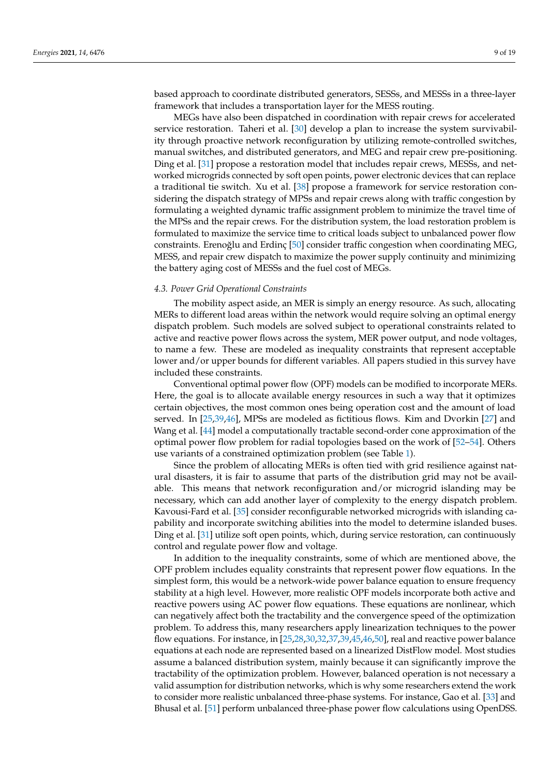based approach to coordinate distributed generators, SESSs, and MESSs in a three-layer framework that includes a transportation layer for the MESS routing.

MEGs have also been dispatched in coordination with repair crews for accelerated service restoration. Taheri et al. [\[30\]](#page-16-26) develop a plan to increase the system survivability through proactive network reconfiguration by utilizing remote-controlled switches, manual switches, and distributed generators, and MEG and repair crew pre-positioning. Ding et al. [\[31\]](#page-17-0) propose a restoration model that includes repair crews, MESSs, and networked microgrids connected by soft open points, power electronic devices that can replace a traditional tie switch. Xu et al. [\[38\]](#page-17-7) propose a framework for service restoration considering the dispatch strategy of MPSs and repair crews along with traffic congestion by formulating a weighted dynamic traffic assignment problem to minimize the travel time of the MPSs and the repair crews. For the distribution system, the load restoration problem is formulated to maximize the service time to critical loads subject to unbalanced power flow constraints. Erenoğlu and Erdinç  $[50]$  consider traffic congestion when coordinating MEG, MESS, and repair crew dispatch to maximize the power supply continuity and minimizing the battery aging cost of MESSs and the fuel cost of MEGs.

#### *4.3. Power Grid Operational Constraints*

The mobility aspect aside, an MER is simply an energy resource. As such, allocating MERs to different load areas within the network would require solving an optimal energy dispatch problem. Such models are solved subject to operational constraints related to active and reactive power flows across the system, MER power output, and node voltages, to name a few. These are modeled as inequality constraints that represent acceptable lower and/or upper bounds for different variables. All papers studied in this survey have included these constraints.

Conventional optimal power flow (OPF) models can be modified to incorporate MERs. Here, the goal is to allocate available energy resources in such a way that it optimizes certain objectives, the most common ones being operation cost and the amount of load served. In [\[25](#page-16-21)[,39](#page-17-8)[,46\]](#page-17-15), MPSs are modeled as fictitious flows. Kim and Dvorkin [\[27\]](#page-16-23) and Wang et al. [\[44\]](#page-17-13) model a computationally tractable second-order cone approximation of the optimal power flow problem for radial topologies based on the work of [\[52–](#page-17-21)[54\]](#page-17-22). Others use variants of a constrained optimization problem (see Table [1\)](#page-6-0).

Since the problem of allocating MERs is often tied with grid resilience against natural disasters, it is fair to assume that parts of the distribution grid may not be available. This means that network reconfiguration and/or microgrid islanding may be necessary, which can add another layer of complexity to the energy dispatch problem. Kavousi-Fard et al. [\[35\]](#page-17-4) consider reconfigurable networked microgrids with islanding capability and incorporate switching abilities into the model to determine islanded buses. Ding et al. [\[31\]](#page-17-0) utilize soft open points, which, during service restoration, can continuously control and regulate power flow and voltage.

In addition to the inequality constraints, some of which are mentioned above, the OPF problem includes equality constraints that represent power flow equations. In the simplest form, this would be a network-wide power balance equation to ensure frequency stability at a high level. However, more realistic OPF models incorporate both active and reactive powers using AC power flow equations. These equations are nonlinear, which can negatively affect both the tractability and the convergence speed of the optimization problem. To address this, many researchers apply linearization techniques to the power flow equations. For instance, in [\[25](#page-16-21)[,28,](#page-16-24)[30,](#page-16-26)[32](#page-17-1)[,37](#page-17-6)[,39](#page-17-8)[,45,](#page-17-14)[46,](#page-17-15)[50\]](#page-17-19), real and reactive power balance equations at each node are represented based on a linearized DistFlow model. Most studies assume a balanced distribution system, mainly because it can significantly improve the tractability of the optimization problem. However, balanced operation is not necessary a valid assumption for distribution networks, which is why some researchers extend the work to consider more realistic unbalanced three-phase systems. For instance, Gao et al. [\[33\]](#page-17-2) and Bhusal et al. [\[51\]](#page-17-20) perform unbalanced three-phase power flow calculations using OpenDSS.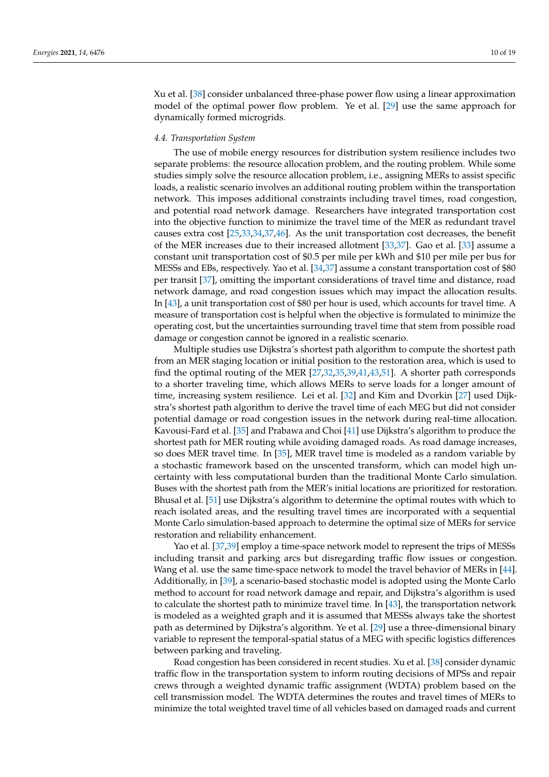Xu et al. [\[38\]](#page-17-7) consider unbalanced three-phase power flow using a linear approximation model of the optimal power flow problem. Ye et al. [\[29\]](#page-16-25) use the same approach for dynamically formed microgrids.

#### *4.4. Transportation System*

The use of mobile energy resources for distribution system resilience includes two separate problems: the resource allocation problem, and the routing problem. While some studies simply solve the resource allocation problem, i.e., assigning MERs to assist specific loads, a realistic scenario involves an additional routing problem within the transportation network. This imposes additional constraints including travel times, road congestion, and potential road network damage. Researchers have integrated transportation cost into the objective function to minimize the travel time of the MER as redundant travel causes extra cost [\[25](#page-16-21)[,33](#page-17-2)[,34](#page-17-3)[,37](#page-17-6)[,46\]](#page-17-15). As the unit transportation cost decreases, the benefit of the MER increases due to their increased allotment [\[33,](#page-17-2)[37\]](#page-17-6). Gao et al. [\[33\]](#page-17-2) assume a constant unit transportation cost of \$0.5 per mile per kWh and \$10 per mile per bus for MESSs and EBs, respectively. Yao et al. [\[34](#page-17-3)[,37\]](#page-17-6) assume a constant transportation cost of \$80 per transit [\[37\]](#page-17-6), omitting the important considerations of travel time and distance, road network damage, and road congestion issues which may impact the allocation results. In [\[43\]](#page-17-12), a unit transportation cost of \$80 per hour is used, which accounts for travel time. A measure of transportation cost is helpful when the objective is formulated to minimize the operating cost, but the uncertainties surrounding travel time that stem from possible road damage or congestion cannot be ignored in a realistic scenario.

Multiple studies use Dijkstra's shortest path algorithm to compute the shortest path from an MER staging location or initial position to the restoration area, which is used to find the optimal routing of the MER [\[27,](#page-16-23)[32,](#page-17-1)[35,](#page-17-4)[39,](#page-17-8)[41,](#page-17-10)[43,](#page-17-12)[51\]](#page-17-20). A shorter path corresponds to a shorter traveling time, which allows MERs to serve loads for a longer amount of time, increasing system resilience. Lei et al. [\[32\]](#page-17-1) and Kim and Dvorkin [\[27\]](#page-16-23) used Dijkstra's shortest path algorithm to derive the travel time of each MEG but did not consider potential damage or road congestion issues in the network during real-time allocation. Kavousi-Fard et al. [\[35\]](#page-17-4) and Prabawa and Choi [\[41\]](#page-17-10) use Dijkstra's algorithm to produce the shortest path for MER routing while avoiding damaged roads. As road damage increases, so does MER travel time. In [\[35\]](#page-17-4), MER travel time is modeled as a random variable by a stochastic framework based on the unscented transform, which can model high uncertainty with less computational burden than the traditional Monte Carlo simulation. Buses with the shortest path from the MER's initial locations are prioritized for restoration. Bhusal et al. [\[51\]](#page-17-20) use Dijkstra's algorithm to determine the optimal routes with which to reach isolated areas, and the resulting travel times are incorporated with a sequential Monte Carlo simulation-based approach to determine the optimal size of MERs for service restoration and reliability enhancement.

Yao et al. [\[37,](#page-17-6)[39\]](#page-17-8) employ a time-space network model to represent the trips of MESSs including transit and parking arcs but disregarding traffic flow issues or congestion. Wang et al. use the same time-space network to model the travel behavior of MERs in [\[44\]](#page-17-13). Additionally, in [\[39\]](#page-17-8), a scenario-based stochastic model is adopted using the Monte Carlo method to account for road network damage and repair, and Dijkstra's algorithm is used to calculate the shortest path to minimize travel time. In [\[43\]](#page-17-12), the transportation network is modeled as a weighted graph and it is assumed that MESSs always take the shortest path as determined by Dijkstra's algorithm. Ye et al. [\[29\]](#page-16-25) use a three-dimensional binary variable to represent the temporal-spatial status of a MEG with specific logistics differences between parking and traveling.

Road congestion has been considered in recent studies. Xu et al. [\[38\]](#page-17-7) consider dynamic traffic flow in the transportation system to inform routing decisions of MPSs and repair crews through a weighted dynamic traffic assignment (WDTA) problem based on the cell transmission model. The WDTA determines the routes and travel times of MERs to minimize the total weighted travel time of all vehicles based on damaged roads and current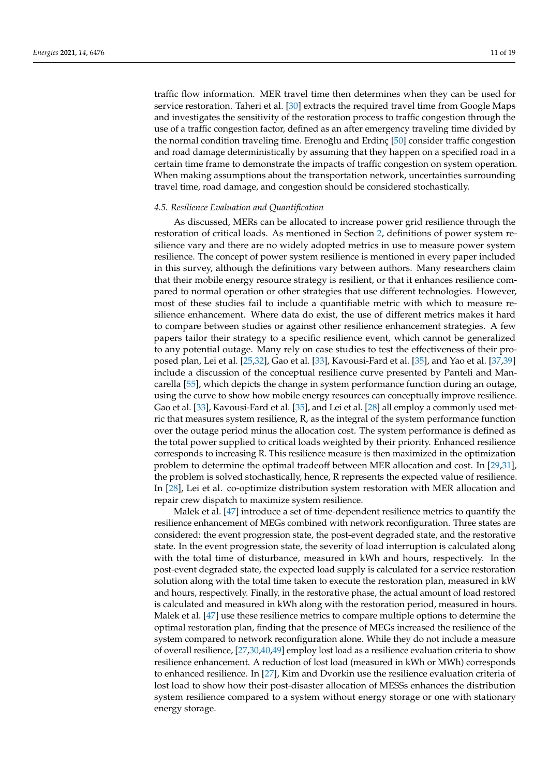traffic flow information. MER travel time then determines when they can be used for service restoration. Taheri et al. [\[30\]](#page-16-26) extracts the required travel time from Google Maps and investigates the sensitivity of the restoration process to traffic congestion through the use of a traffic congestion factor, defined as an after emergency traveling time divided by the normal condition traveling time. Ereno ğlu and Erdinc  $[50]$  consider traffic congestion and road damage deterministically by assuming that they happen on a specified road in a certain time frame to demonstrate the impacts of traffic congestion on system operation. When making assumptions about the transportation network, uncertainties surrounding travel time, road damage, and congestion should be considered stochastically.

#### *4.5. Resilience Evaluation and Quantification*

As discussed, MERs can be allocated to increase power grid resilience through the restoration of critical loads. As mentioned in Section [2,](#page-2-0) definitions of power system resilience vary and there are no widely adopted metrics in use to measure power system resilience. The concept of power system resilience is mentioned in every paper included in this survey, although the definitions vary between authors. Many researchers claim that their mobile energy resource strategy is resilient, or that it enhances resilience compared to normal operation or other strategies that use different technologies. However, most of these studies fail to include a quantifiable metric with which to measure resilience enhancement. Where data do exist, the use of different metrics makes it hard to compare between studies or against other resilience enhancement strategies. A few papers tailor their strategy to a specific resilience event, which cannot be generalized to any potential outage. Many rely on case studies to test the effectiveness of their proposed plan, Lei et al. [\[25](#page-16-21)[,32\]](#page-17-1), Gao et al. [\[33\]](#page-17-2), Kavousi-Fard et al. [\[35\]](#page-17-4), and Yao et al. [\[37](#page-17-6)[,39\]](#page-17-8) include a discussion of the conceptual resilience curve presented by Panteli and Mancarella [\[55\]](#page-17-23), which depicts the change in system performance function during an outage, using the curve to show how mobile energy resources can conceptually improve resilience. Gao et al. [\[33\]](#page-17-2), Kavousi-Fard et al. [\[35\]](#page-17-4), and Lei et al. [\[28\]](#page-16-24) all employ a commonly used metric that measures system resilience, R, as the integral of the system performance function over the outage period minus the allocation cost. The system performance is defined as the total power supplied to critical loads weighted by their priority. Enhanced resilience corresponds to increasing R. This resilience measure is then maximized in the optimization problem to determine the optimal tradeoff between MER allocation and cost. In [\[29,](#page-16-25)[31\]](#page-17-0), the problem is solved stochastically, hence, R represents the expected value of resilience. In [\[28\]](#page-16-24), Lei et al. co-optimize distribution system restoration with MER allocation and repair crew dispatch to maximize system resilience.

Malek et al. [\[47\]](#page-17-16) introduce a set of time-dependent resilience metrics to quantify the resilience enhancement of MEGs combined with network reconfiguration. Three states are considered: the event progression state, the post-event degraded state, and the restorative state. In the event progression state, the severity of load interruption is calculated along with the total time of disturbance, measured in kWh and hours, respectively. In the post-event degraded state, the expected load supply is calculated for a service restoration solution along with the total time taken to execute the restoration plan, measured in kW and hours, respectively. Finally, in the restorative phase, the actual amount of load restored is calculated and measured in kWh along with the restoration period, measured in hours. Malek et al. [\[47\]](#page-17-16) use these resilience metrics to compare multiple options to determine the optimal restoration plan, finding that the presence of MEGs increased the resilience of the system compared to network reconfiguration alone. While they do not include a measure of overall resilience, [\[27](#page-16-23)[,30,](#page-16-26)[40,](#page-17-9)[49\]](#page-17-18) employ lost load as a resilience evaluation criteria to show resilience enhancement. A reduction of lost load (measured in kWh or MWh) corresponds to enhanced resilience. In [\[27\]](#page-16-23), Kim and Dvorkin use the resilience evaluation criteria of lost load to show how their post-disaster allocation of MESSs enhances the distribution system resilience compared to a system without energy storage or one with stationary energy storage.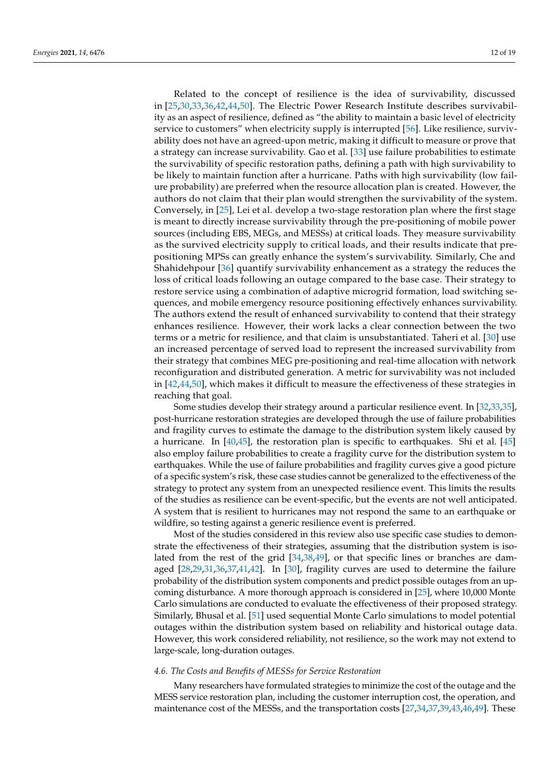Related to the concept of resilience is the idea of survivability, discussed in [\[25,](#page-16-21)[30,](#page-16-26)[33,](#page-17-2)[36,](#page-17-5)[42,](#page-17-11)[44,](#page-17-13)[50\]](#page-17-19). The Electric Power Research Institute describes survivability as an aspect of resilience, defined as "the ability to maintain a basic level of electricity service to customers" when electricity supply is interrupted [\[56\]](#page-18-0). Like resilience, survivability does not have an agreed-upon metric, making it difficult to measure or prove that a strategy can increase survivability. Gao et al. [\[33\]](#page-17-2) use failure probabilities to estimate the survivability of specific restoration paths, defining a path with high survivability to be likely to maintain function after a hurricane. Paths with high survivability (low failure probability) are preferred when the resource allocation plan is created. However, the authors do not claim that their plan would strengthen the survivability of the system. Conversely, in [\[25\]](#page-16-21), Lei et al. develop a two-stage restoration plan where the first stage is meant to directly increase survivability through the pre-positioning of mobile power sources (including EBS, MEGs, and MESSs) at critical loads. They measure survivability as the survived electricity supply to critical loads, and their results indicate that prepositioning MPSs can greatly enhance the system's survivability. Similarly, Che and Shahidehpour [\[36\]](#page-17-5) quantify survivability enhancement as a strategy the reduces the loss of critical loads following an outage compared to the base case. Their strategy to restore service using a combination of adaptive microgrid formation, load switching sequences, and mobile emergency resource positioning effectively enhances survivability. The authors extend the result of enhanced survivability to contend that their strategy enhances resilience. However, their work lacks a clear connection between the two terms or a metric for resilience, and that claim is unsubstantiated. Taheri et al. [\[30\]](#page-16-26) use an increased percentage of served load to represent the increased survivability from their strategy that combines MEG pre-positioning and real-time allocation with network reconfiguration and distributed generation. A metric for survivability was not included in [\[42](#page-17-11)[,44](#page-17-13)[,50\]](#page-17-19), which makes it difficult to measure the effectiveness of these strategies in reaching that goal.

Some studies develop their strategy around a particular resilience event. In [\[32](#page-17-1)[,33](#page-17-2)[,35\]](#page-17-4), post-hurricane restoration strategies are developed through the use of failure probabilities and fragility curves to estimate the damage to the distribution system likely caused by a hurricane. In  $[40,45]$  $[40,45]$ , the restoration plan is specific to earthquakes. Shi et al.  $[45]$ also employ failure probabilities to create a fragility curve for the distribution system to earthquakes. While the use of failure probabilities and fragility curves give a good picture of a specific system's risk, these case studies cannot be generalized to the effectiveness of the strategy to protect any system from an unexpected resilience event. This limits the results of the studies as resilience can be event-specific, but the events are not well anticipated. A system that is resilient to hurricanes may not respond the same to an earthquake or wildfire, so testing against a generic resilience event is preferred.

Most of the studies considered in this review also use specific case studies to demonstrate the effectiveness of their strategies, assuming that the distribution system is isolated from the rest of the grid [\[34](#page-17-3)[,38](#page-17-7)[,49\]](#page-17-18), or that specific lines or branches are damaged [\[28](#page-16-24)[,29](#page-16-25)[,31](#page-17-0)[,36](#page-17-5)[,37](#page-17-6)[,41,](#page-17-10)[42\]](#page-17-11). In [\[30\]](#page-16-26), fragility curves are used to determine the failure probability of the distribution system components and predict possible outages from an upcoming disturbance. A more thorough approach is considered in [\[25\]](#page-16-21), where 10,000 Monte Carlo simulations are conducted to evaluate the effectiveness of their proposed strategy. Similarly, Bhusal et al. [\[51\]](#page-17-20) used sequential Monte Carlo simulations to model potential outages within the distribution system based on reliability and historical outage data. However, this work considered reliability, not resilience, so the work may not extend to large-scale, long-duration outages.

#### *4.6. The Costs and Benefits of MESSs for Service Restoration*

Many researchers have formulated strategies to minimize the cost of the outage and the MESS service restoration plan, including the customer interruption cost, the operation, and maintenance cost of the MESSs, and the transportation costs [\[27,](#page-16-23)[34,](#page-17-3)[37](#page-17-6)[,39](#page-17-8)[,43](#page-17-12)[,46](#page-17-15)[,49\]](#page-17-18). These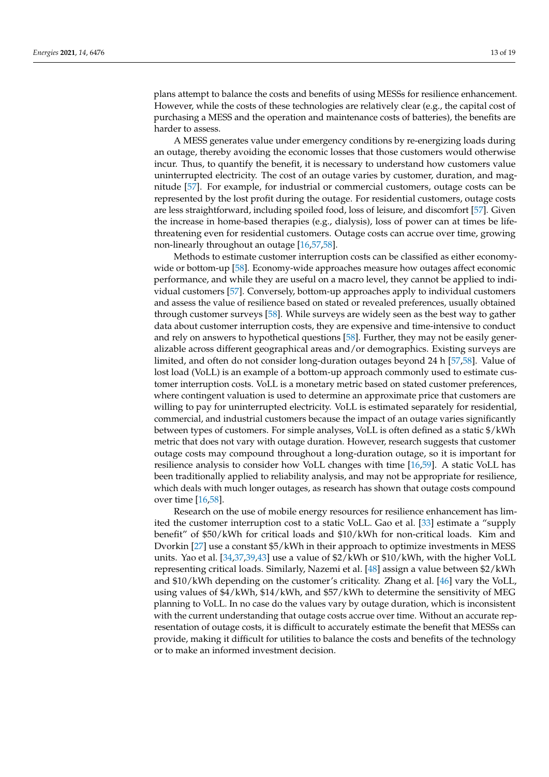plans attempt to balance the costs and benefits of using MESSs for resilience enhancement. However, while the costs of these technologies are relatively clear (e.g., the capital cost of purchasing a MESS and the operation and maintenance costs of batteries), the benefits are harder to assess.

A MESS generates value under emergency conditions by re-energizing loads during an outage, thereby avoiding the economic losses that those customers would otherwise incur. Thus, to quantify the benefit, it is necessary to understand how customers value uninterrupted electricity. The cost of an outage varies by customer, duration, and magnitude [\[57\]](#page-18-1). For example, for industrial or commercial customers, outage costs can be represented by the lost profit during the outage. For residential customers, outage costs are less straightforward, including spoiled food, loss of leisure, and discomfort [\[57\]](#page-18-1). Given the increase in home-based therapies (e.g., dialysis), loss of power can at times be lifethreatening even for residential customers. Outage costs can accrue over time, growing non-linearly throughout an outage [\[16,](#page-16-13)[57,](#page-18-1)[58\]](#page-18-2).

Methods to estimate customer interruption costs can be classified as either economywide or bottom-up [\[58\]](#page-18-2). Economy-wide approaches measure how outages affect economic performance, and while they are useful on a macro level, they cannot be applied to individual customers [\[57\]](#page-18-1). Conversely, bottom-up approaches apply to individual customers and assess the value of resilience based on stated or revealed preferences, usually obtained through customer surveys [\[58\]](#page-18-2). While surveys are widely seen as the best way to gather data about customer interruption costs, they are expensive and time-intensive to conduct and rely on answers to hypothetical questions [\[58\]](#page-18-2). Further, they may not be easily generalizable across different geographical areas and/or demographics. Existing surveys are limited, and often do not consider long-duration outages beyond 24 h [\[57](#page-18-1)[,58\]](#page-18-2). Value of lost load (VoLL) is an example of a bottom-up approach commonly used to estimate customer interruption costs. VoLL is a monetary metric based on stated customer preferences, where contingent valuation is used to determine an approximate price that customers are willing to pay for uninterrupted electricity. VoLL is estimated separately for residential, commercial, and industrial customers because the impact of an outage varies significantly between types of customers. For simple analyses, VoLL is often defined as a static \$/kWh metric that does not vary with outage duration. However, research suggests that customer outage costs may compound throughout a long-duration outage, so it is important for resilience analysis to consider how VoLL changes with time [\[16,](#page-16-13)[59\]](#page-18-3). A static VoLL has been traditionally applied to reliability analysis, and may not be appropriate for resilience, which deals with much longer outages, as research has shown that outage costs compound over time [\[16,](#page-16-13)[58\]](#page-18-2).

Research on the use of mobile energy resources for resilience enhancement has limited the customer interruption cost to a static VoLL. Gao et al. [\[33\]](#page-17-2) estimate a "supply benefit" of \$50/kWh for critical loads and \$10/kWh for non-critical loads. Kim and Dvorkin [\[27\]](#page-16-23) use a constant \$5/kWh in their approach to optimize investments in MESS units. Yao et al. [\[34](#page-17-3)[,37](#page-17-6)[,39](#page-17-8)[,43\]](#page-17-12) use a value of \$2/kWh or \$10/kWh, with the higher VoLL representing critical loads. Similarly, Nazemi et al. [\[48\]](#page-17-17) assign a value between \$2/kWh and \$10/kWh depending on the customer's criticality. Zhang et al. [\[46\]](#page-17-15) vary the VoLL, using values of \$4/kWh, \$14/kWh, and \$57/kWh to determine the sensitivity of MEG planning to VoLL. In no case do the values vary by outage duration, which is inconsistent with the current understanding that outage costs accrue over time. Without an accurate representation of outage costs, it is difficult to accurately estimate the benefit that MESSs can provide, making it difficult for utilities to balance the costs and benefits of the technology or to make an informed investment decision.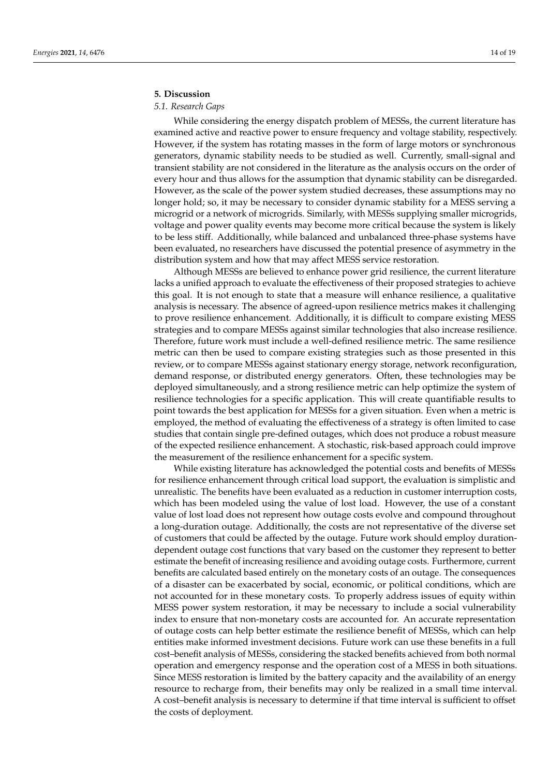# <span id="page-13-0"></span>**5. Discussion**

# *5.1. Research Gaps*

While considering the energy dispatch problem of MESSs, the current literature has examined active and reactive power to ensure frequency and voltage stability, respectively. However, if the system has rotating masses in the form of large motors or synchronous generators, dynamic stability needs to be studied as well. Currently, small-signal and transient stability are not considered in the literature as the analysis occurs on the order of every hour and thus allows for the assumption that dynamic stability can be disregarded. However, as the scale of the power system studied decreases, these assumptions may no longer hold; so, it may be necessary to consider dynamic stability for a MESS serving a microgrid or a network of microgrids. Similarly, with MESSs supplying smaller microgrids, voltage and power quality events may become more critical because the system is likely to be less stiff. Additionally, while balanced and unbalanced three-phase systems have been evaluated, no researchers have discussed the potential presence of asymmetry in the distribution system and how that may affect MESS service restoration.

Although MESSs are believed to enhance power grid resilience, the current literature lacks a unified approach to evaluate the effectiveness of their proposed strategies to achieve this goal. It is not enough to state that a measure will enhance resilience, a qualitative analysis is necessary. The absence of agreed-upon resilience metrics makes it challenging to prove resilience enhancement. Additionally, it is difficult to compare existing MESS strategies and to compare MESSs against similar technologies that also increase resilience. Therefore, future work must include a well-defined resilience metric. The same resilience metric can then be used to compare existing strategies such as those presented in this review, or to compare MESSs against stationary energy storage, network reconfiguration, demand response, or distributed energy generators. Often, these technologies may be deployed simultaneously, and a strong resilience metric can help optimize the system of resilience technologies for a specific application. This will create quantifiable results to point towards the best application for MESSs for a given situation. Even when a metric is employed, the method of evaluating the effectiveness of a strategy is often limited to case studies that contain single pre-defined outages, which does not produce a robust measure of the expected resilience enhancement. A stochastic, risk-based approach could improve the measurement of the resilience enhancement for a specific system.

While existing literature has acknowledged the potential costs and benefits of MESSs for resilience enhancement through critical load support, the evaluation is simplistic and unrealistic. The benefits have been evaluated as a reduction in customer interruption costs, which has been modeled using the value of lost load. However, the use of a constant value of lost load does not represent how outage costs evolve and compound throughout a long-duration outage. Additionally, the costs are not representative of the diverse set of customers that could be affected by the outage. Future work should employ durationdependent outage cost functions that vary based on the customer they represent to better estimate the benefit of increasing resilience and avoiding outage costs. Furthermore, current benefits are calculated based entirely on the monetary costs of an outage. The consequences of a disaster can be exacerbated by social, economic, or political conditions, which are not accounted for in these monetary costs. To properly address issues of equity within MESS power system restoration, it may be necessary to include a social vulnerability index to ensure that non-monetary costs are accounted for. An accurate representation of outage costs can help better estimate the resilience benefit of MESSs, which can help entities make informed investment decisions. Future work can use these benefits in a full cost–benefit analysis of MESSs, considering the stacked benefits achieved from both normal operation and emergency response and the operation cost of a MESS in both situations. Since MESS restoration is limited by the battery capacity and the availability of an energy resource to recharge from, their benefits may only be realized in a small time interval. A cost–benefit analysis is necessary to determine if that time interval is sufficient to offset the costs of deployment.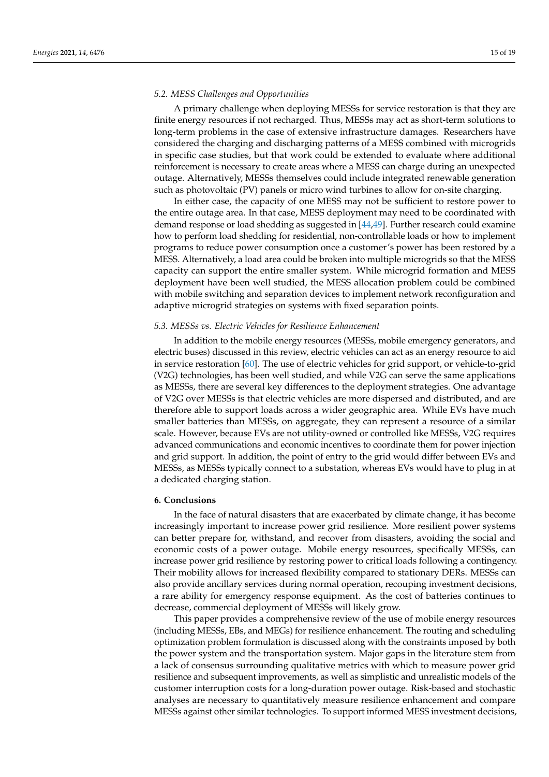#### *5.2. MESS Challenges and Opportunities*

A primary challenge when deploying MESSs for service restoration is that they are finite energy resources if not recharged. Thus, MESSs may act as short-term solutions to long-term problems in the case of extensive infrastructure damages. Researchers have considered the charging and discharging patterns of a MESS combined with microgrids in specific case studies, but that work could be extended to evaluate where additional reinforcement is necessary to create areas where a MESS can charge during an unexpected outage. Alternatively, MESSs themselves could include integrated renewable generation such as photovoltaic (PV) panels or micro wind turbines to allow for on-site charging.

In either case, the capacity of one MESS may not be sufficient to restore power to the entire outage area. In that case, MESS deployment may need to be coordinated with demand response or load shedding as suggested in [\[44,](#page-17-13)[49\]](#page-17-18). Further research could examine how to perform load shedding for residential, non-controllable loads or how to implement programs to reduce power consumption once a customer's power has been restored by a MESS. Alternatively, a load area could be broken into multiple microgrids so that the MESS capacity can support the entire smaller system. While microgrid formation and MESS deployment have been well studied, the MESS allocation problem could be combined with mobile switching and separation devices to implement network reconfiguration and adaptive microgrid strategies on systems with fixed separation points.

## *5.3. MESSs vs. Electric Vehicles for Resilience Enhancement*

In addition to the mobile energy resources (MESSs, mobile emergency generators, and electric buses) discussed in this review, electric vehicles can act as an energy resource to aid in service restoration [\[60\]](#page-18-4). The use of electric vehicles for grid support, or vehicle-to-grid (V2G) technologies, has been well studied, and while V2G can serve the same applications as MESSs, there are several key differences to the deployment strategies. One advantage of V2G over MESSs is that electric vehicles are more dispersed and distributed, and are therefore able to support loads across a wider geographic area. While EVs have much smaller batteries than MESSs, on aggregate, they can represent a resource of a similar scale. However, because EVs are not utility-owned or controlled like MESSs, V2G requires advanced communications and economic incentives to coordinate them for power injection and grid support. In addition, the point of entry to the grid would differ between EVs and MESSs, as MESSs typically connect to a substation, whereas EVs would have to plug in at a dedicated charging station.

## <span id="page-14-0"></span>**6. Conclusions**

In the face of natural disasters that are exacerbated by climate change, it has become increasingly important to increase power grid resilience. More resilient power systems can better prepare for, withstand, and recover from disasters, avoiding the social and economic costs of a power outage. Mobile energy resources, specifically MESSs, can increase power grid resilience by restoring power to critical loads following a contingency. Their mobility allows for increased flexibility compared to stationary DERs. MESSs can also provide ancillary services during normal operation, recouping investment decisions, a rare ability for emergency response equipment. As the cost of batteries continues to decrease, commercial deployment of MESSs will likely grow.

This paper provides a comprehensive review of the use of mobile energy resources (including MESSs, EBs, and MEGs) for resilience enhancement. The routing and scheduling optimization problem formulation is discussed along with the constraints imposed by both the power system and the transportation system. Major gaps in the literature stem from a lack of consensus surrounding qualitative metrics with which to measure power grid resilience and subsequent improvements, as well as simplistic and unrealistic models of the customer interruption costs for a long-duration power outage. Risk-based and stochastic analyses are necessary to quantitatively measure resilience enhancement and compare MESSs against other similar technologies. To support informed MESS investment decisions,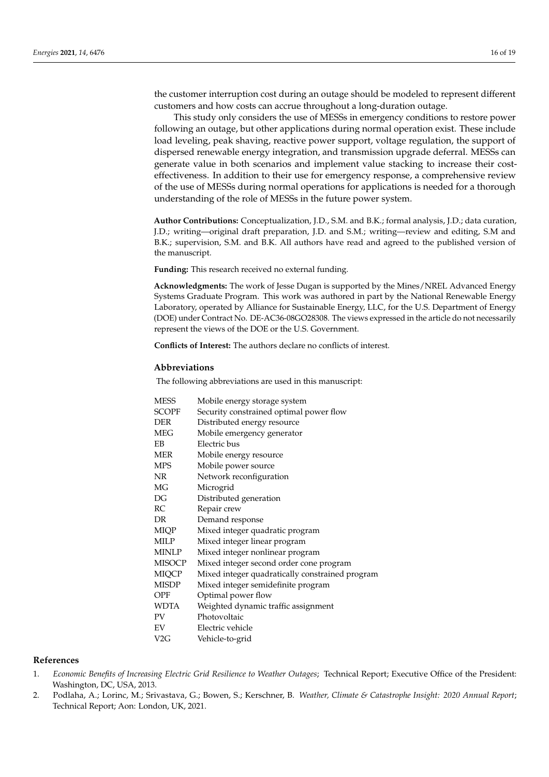the customer interruption cost during an outage should be modeled to represent different customers and how costs can accrue throughout a long-duration outage.

This study only considers the use of MESSs in emergency conditions to restore power following an outage, but other applications during normal operation exist. These include load leveling, peak shaving, reactive power support, voltage regulation, the support of dispersed renewable energy integration, and transmission upgrade deferral. MESSs can generate value in both scenarios and implement value stacking to increase their costeffectiveness. In addition to their use for emergency response, a comprehensive review of the use of MESSs during normal operations for applications is needed for a thorough understanding of the role of MESSs in the future power system.

**Author Contributions:** Conceptualization, J.D., S.M. and B.K.; formal analysis, J.D.; data curation, J.D.; writing—original draft preparation, J.D. and S.M.; writing—review and editing, S.M and B.K.; supervision, S.M. and B.K. All authors have read and agreed to the published version of the manuscript.

**Funding:** This research received no external funding.

**Acknowledgments:** The work of Jesse Dugan is supported by the Mines/NREL Advanced Energy Systems Graduate Program. This work was authored in part by the National Renewable Energy Laboratory, operated by Alliance for Sustainable Energy, LLC, for the U.S. Department of Energy (DOE) under Contract No. DE-AC36-08GO28308. The views expressed in the article do not necessarily represent the views of the DOE or the U.S. Government.

**Conflicts of Interest:** The authors declare no conflicts of interest.

#### **Abbreviations**

The following abbreviations are used in this manuscript:

| <b>MESS</b>  | Mobile energy storage system                    |
|--------------|-------------------------------------------------|
| <b>SCOPF</b> | Security constrained optimal power flow         |
| <b>DER</b>   | Distributed energy resource                     |
| MEG          | Mobile emergency generator                      |
| EB           | Electric bus                                    |
| MER          | Mobile energy resource                          |
| <b>MPS</b>   | Mobile power source                             |
| NR           | Network reconfiguration                         |
| MG           | Microgrid                                       |
| DG           | Distributed generation                          |
| RC           | Repair crew                                     |
| DR.          | Demand response                                 |
| MIQP         | Mixed integer quadratic program                 |
| MILP         | Mixed integer linear program                    |
| MINLP        | Mixed integer nonlinear program                 |
| MISOCP       | Mixed integer second order cone program         |
| <b>MIQCP</b> | Mixed integer quadratically constrained program |
| MISDP        | Mixed integer semidefinite program              |
| OPF          | Optimal power flow                              |
| WDTA         | Weighted dynamic traffic assignment             |
| PV           | Photovoltaic                                    |
| EV           | Electric vehicle                                |
| V2G          | Vehicle-to-grid                                 |
|              |                                                 |

## **References**

- <span id="page-15-0"></span>1. *Economic Benefits of Increasing Electric Grid Resilience to Weather Outages*; Technical Report; Executive Office of the President: Washington, DC, USA, 2013.
- <span id="page-15-1"></span>2. Podlaha, A.; Lorinc, M.; Srivastava, G.; Bowen, S.; Kerschner, B. *Weather, Climate & Catastrophe Insight: 2020 Annual Report*; Technical Report; Aon: London, UK, 2021.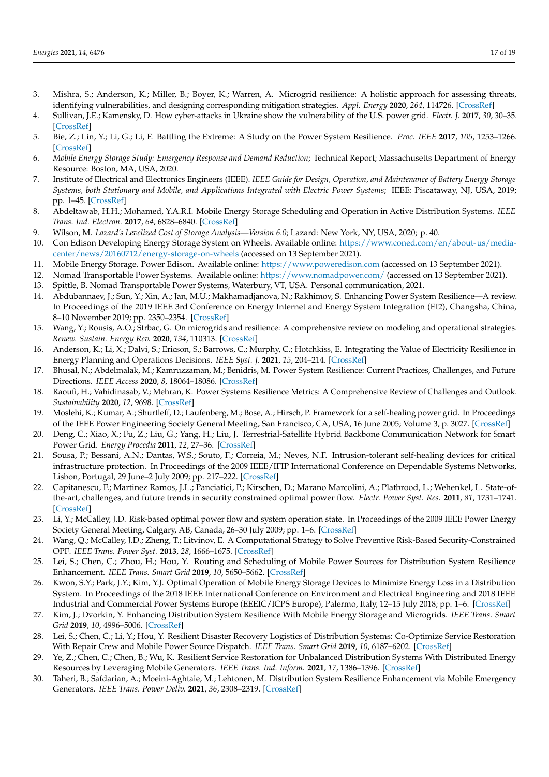- <span id="page-16-0"></span>3. Mishra, S.; Anderson, K.; Miller, B.; Boyer, K.; Warren, A. Microgrid resilience: A holistic approach for assessing threats, identifying vulnerabilities, and designing corresponding mitigation strategies. *Appl. Energy* **2020**, *264*, 114726. [\[CrossRef\]](http://doi.org/10.1016/j.apenergy.2020.114726)
- <span id="page-16-1"></span>4. Sullivan, J.E.; Kamensky, D. How cyber-attacks in Ukraine show the vulnerability of the U.S. power grid. *Electr. J.* **2017**, *30*, 30–35. [\[CrossRef\]](http://dx.doi.org/10.1016/j.tej.2017.02.006)
- <span id="page-16-2"></span>5. Bie, Z.; Lin, Y.; Li, G.; Li, F. Battling the Extreme: A Study on the Power System Resilience. *Proc. IEEE* **2017**, *105*, 1253–1266. [\[CrossRef\]](http://dx.doi.org/10.1109/JPROC.2017.2679040)
- <span id="page-16-3"></span>6. *Mobile Energy Storage Study: Emergency Response and Demand Reduction*; Technical Report; Massachusetts Department of Energy Resource: Boston, MA, USA, 2020.
- <span id="page-16-4"></span>7. Institute of Electrical and Electronics Engineers (IEEE). *IEEE Guide for Design, Operation, and Maintenance of Battery Energy Storage Systems, both Stationary and Mobile, and Applications Integrated with Electric Power Systems*; IEEE: Piscataway, NJ, USA, 2019; pp. 1–45. [\[CrossRef\]](http://dx.doi.org/10.1109/IEEESTD.2019.8930450)
- <span id="page-16-5"></span>8. Abdeltawab, H.H.; Mohamed, Y.A.R.I. Mobile Energy Storage Scheduling and Operation in Active Distribution Systems. *IEEE Trans. Ind. Electron.* **2017**, *64*, 6828–6840. [\[CrossRef\]](http://dx.doi.org/10.1109/TIE.2017.2682779)
- <span id="page-16-6"></span>9. Wilson, M. *Lazard's Levelized Cost of Storage Analysis—Version 6.0*; Lazard: New York, NY, USA, 2020; p. 40.
- <span id="page-16-7"></span>10. Con Edison Developing Energy Storage System on Wheels. Available online: [https://www.coned.com/en/about-us/media](https://www.coned.com/en/about-us/media-center/news/20160712/energy-storage-on-wheels)[center/news/20160712/energy-storage-on-wheels](https://www.coned.com/en/about-us/media-center/news/20160712/energy-storage-on-wheels) (accessed on 13 September 2021).
- <span id="page-16-8"></span>11. Mobile Energy Storage. Power Edison. Available online: <https://www.poweredison.com> (accessed on 13 September 2021).
- <span id="page-16-9"></span>12. Nomad Transportable Power Systems. Available online: <https://www.nomadpower.com/> (accessed on 13 September 2021).
- <span id="page-16-10"></span>13. Spittle, B. Nomad Transportable Power Systems, Waterbury, VT, USA. Personal communication, 2021.
- <span id="page-16-11"></span>14. Abdubannaev, J.; Sun, Y.; Xin, A.; Jan, M.U.; Makhamadjanova, N.; Rakhimov, S. Enhancing Power System Resilience—A review. In Proceedings of the 2019 IEEE 3rd Conference on Energy Internet and Energy System Integration (EI2), Changsha, China, 8–10 November 2019; pp. 2350–2354. [\[CrossRef\]](http://dx.doi.org/10.1109/EI247390.2019.9062002)
- <span id="page-16-12"></span>15. Wang, Y.; Rousis, A.O.; Strbac, G. On microgrids and resilience: A comprehensive review on modeling and operational strategies. *Renew. Sustain. Energy Rev.* **2020**, *134*, 110313. [\[CrossRef\]](http://dx.doi.org/10.1016/j.rser.2020.110313)
- <span id="page-16-13"></span>16. Anderson, K.; Li, X.; Dalvi, S.; Ericson, S.; Barrows, C.; Murphy, C.; Hotchkiss, E. Integrating the Value of Electricity Resilience in Energy Planning and Operations Decisions. *IEEE Syst. J.* **2021**, *15*, 204–214. [\[CrossRef\]](http://dx.doi.org/10.1109/JSYST.2019.2961298)
- <span id="page-16-14"></span>17. Bhusal, N.; Abdelmalak, M.; Kamruzzaman, M.; Benidris, M. Power System Resilience: Current Practices, Challenges, and Future Directions. *IEEE Access* **2020**, *8*, 18064–18086. [\[CrossRef\]](http://dx.doi.org/10.1109/ACCESS.2020.2968586)
- <span id="page-16-15"></span>18. Raoufi, H.; Vahidinasab, V.; Mehran, K. Power Systems Resilience Metrics: A Comprehensive Review of Challenges and Outlook. *Sustainability* **2020**, *12*, 9698. [\[CrossRef\]](http://dx.doi.org/10.3390/su12229698)
- <span id="page-16-16"></span>19. Moslehi, K.; Kumar, A.; Shurtleff, D.; Laufenberg, M.; Bose, A.; Hirsch, P. Framework for a self-healing power grid. In Proceedings of the IEEE Power Engineering Society General Meeting, San Francisco, CA, USA, 16 June 2005; Volume 3, p. 3027. [\[CrossRef\]](http://dx.doi.org/10.1109/PES.2005.1489709)
- 20. Deng, C.; Xiao, X.; Fu, Z.; Liu, G.; Yang, H.; Liu, J. Terrestrial-Satellite Hybrid Backbone Communication Network for Smart Power Grid. *Energy Procedia* **2011**, *12*, 27–36. [\[CrossRef\]](http://dx.doi.org/10.1016/j.egypro.2011.10.006)
- <span id="page-16-17"></span>21. Sousa, P.; Bessani, A.N.; Dantas, W.S.; Souto, F.; Correia, M.; Neves, N.F. Intrusion-tolerant self-healing devices for critical infrastructure protection. In Proceedings of the 2009 IEEE/IFIP International Conference on Dependable Systems Networks, Lisbon, Portugal, 29 June–2 July 2009; pp. 217–222. [\[CrossRef\]](http://dx.doi.org/10.1109/DSN.2009.5270333)
- <span id="page-16-18"></span>22. Capitanescu, F.; Martinez Ramos, J.L.; Panciatici, P.; Kirschen, D.; Marano Marcolini, A.; Platbrood, L.; Wehenkel, L. State-ofthe-art, challenges, and future trends in security constrained optimal power flow. *Electr. Power Syst. Res.* **2011**, *81*, 1731–1741. [\[CrossRef\]](http://dx.doi.org/10.1016/j.epsr.2011.04.003)
- <span id="page-16-19"></span>23. Li, Y.; McCalley, J.D. Risk-based optimal power flow and system operation state. In Proceedings of the 2009 IEEE Power Energy Society General Meeting, Calgary, AB, Canada, 26–30 July 2009; pp. 1–6. [\[CrossRef\]](http://dx.doi.org/10.1109/PES.2009.5275724)
- <span id="page-16-20"></span>24. Wang, Q.; McCalley, J.D.; Zheng, T.; Litvinov, E. A Computational Strategy to Solve Preventive Risk-Based Security-Constrained OPF. *IEEE Trans. Power Syst.* **2013**, *28*, 1666–1675. [\[CrossRef\]](http://dx.doi.org/10.1109/TPWRS.2012.2219080)
- <span id="page-16-21"></span>25. Lei, S.; Chen, C.; Zhou, H.; Hou, Y. Routing and Scheduling of Mobile Power Sources for Distribution System Resilience Enhancement. *IEEE Trans. Smart Grid* **2019**, *10*, 5650–5662. [\[CrossRef\]](http://dx.doi.org/10.1109/TSG.2018.2889347)
- <span id="page-16-22"></span>26. Kwon, S.Y.; Park, J.Y.; Kim, Y.J. Optimal Operation of Mobile Energy Storage Devices to Minimize Energy Loss in a Distribution System. In Proceedings of the 2018 IEEE International Conference on Environment and Electrical Engineering and 2018 IEEE Industrial and Commercial Power Systems Europe (EEEIC/ICPS Europe), Palermo, Italy, 12–15 July 2018; pp. 1–6. [\[CrossRef\]](http://dx.doi.org/10.1109/EEEIC.2018.8494447)
- <span id="page-16-23"></span>27. Kim, J.; Dvorkin, Y. Enhancing Distribution System Resilience With Mobile Energy Storage and Microgrids. *IEEE Trans. Smart Grid* **2019**, *10*, 4996–5006. [\[CrossRef\]](http://dx.doi.org/10.1109/TSG.2018.2872521)
- <span id="page-16-24"></span>28. Lei, S.; Chen, C.; Li, Y.; Hou, Y. Resilient Disaster Recovery Logistics of Distribution Systems: Co-Optimize Service Restoration With Repair Crew and Mobile Power Source Dispatch. *IEEE Trans. Smart Grid* **2019**, *10*, 6187–6202. [\[CrossRef\]](http://dx.doi.org/10.1109/TSG.2019.2899353)
- <span id="page-16-25"></span>29. Ye, Z.; Chen, C.; Chen, B.; Wu, K. Resilient Service Restoration for Unbalanced Distribution Systems With Distributed Energy Resources by Leveraging Mobile Generators. *IEEE Trans. Ind. Inform.* **2021**, *17*, 1386–1396. [\[CrossRef\]](http://dx.doi.org/10.1109/TII.2020.2976831)
- <span id="page-16-26"></span>30. Taheri, B.; Safdarian, A.; Moeini-Aghtaie, M.; Lehtonen, M. Distribution System Resilience Enhancement via Mobile Emergency Generators. *IEEE Trans. Power Deliv.* **2021**, *36*, 2308–2319. [\[CrossRef\]](http://dx.doi.org/10.1109/TPWRD.2020.3007762)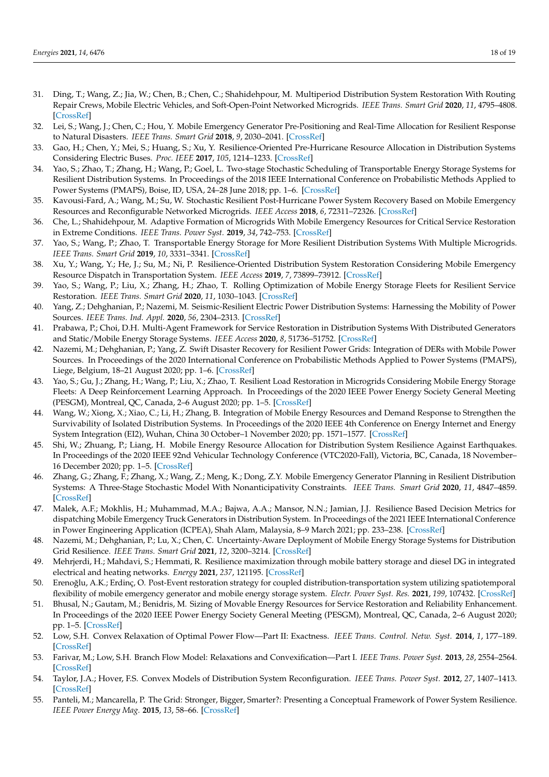- <span id="page-17-0"></span>31. Ding, T.; Wang, Z.; Jia, W.; Chen, B.; Chen, C.; Shahidehpour, M. Multiperiod Distribution System Restoration With Routing Repair Crews, Mobile Electric Vehicles, and Soft-Open-Point Networked Microgrids. *IEEE Trans. Smart Grid* **2020**, *11*, 4795–4808. [\[CrossRef\]](http://dx.doi.org/10.1109/TSG.2020.3001952)
- <span id="page-17-1"></span>32. Lei, S.; Wang, J.; Chen, C.; Hou, Y. Mobile Emergency Generator Pre-Positioning and Real-Time Allocation for Resilient Response to Natural Disasters. *IEEE Trans. Smart Grid* **2018**, *9*, 2030–2041. [\[CrossRef\]](http://dx.doi.org/10.1109/TSG.2016.2605692)
- <span id="page-17-2"></span>33. Gao, H.; Chen, Y.; Mei, S.; Huang, S.; Xu, Y. Resilience-Oriented Pre-Hurricane Resource Allocation in Distribution Systems Considering Electric Buses. *Proc. IEEE* **2017**, *105*, 1214–1233. [\[CrossRef\]](http://dx.doi.org/10.1109/JPROC.2017.2666548)
- <span id="page-17-3"></span>34. Yao, S.; Zhao, T.; Zhang, H.; Wang, P.; Goel, L. Two-stage Stochastic Scheduling of Transportable Energy Storage Systems for Resilient Distribution Systems. In Proceedings of the 2018 IEEE International Conference on Probabilistic Methods Applied to Power Systems (PMAPS), Boise, ID, USA, 24–28 June 2018; pp. 1–6. [\[CrossRef\]](http://dx.doi.org/10.1109/PMAPS.2018.8440544)
- <span id="page-17-4"></span>35. Kavousi-Fard, A.; Wang, M.; Su, W. Stochastic Resilient Post-Hurricane Power System Recovery Based on Mobile Emergency Resources and Reconfigurable Networked Microgrids. *IEEE Access* **2018**, *6*, 72311–72326. [\[CrossRef\]](http://dx.doi.org/10.1109/ACCESS.2018.2881949)
- <span id="page-17-5"></span>36. Che, L.; Shahidehpour, M. Adaptive Formation of Microgrids With Mobile Emergency Resources for Critical Service Restoration in Extreme Conditions. *IEEE Trans. Power Syst.* **2019**, *34*, 742–753. [\[CrossRef\]](http://dx.doi.org/10.1109/TPWRS.2018.2866099)
- <span id="page-17-6"></span>37. Yao, S.; Wang, P.; Zhao, T. Transportable Energy Storage for More Resilient Distribution Systems With Multiple Microgrids. *IEEE Trans. Smart Grid* **2019**, *10*, 3331–3341. [\[CrossRef\]](http://dx.doi.org/10.1109/TSG.2018.2824820)
- <span id="page-17-7"></span>38. Xu, Y.; Wang, Y.; He, J.; Su, M.; Ni, P. Resilience-Oriented Distribution System Restoration Considering Mobile Emergency Resource Dispatch in Transportation System. *IEEE Access* **2019**, *7*, 73899–73912. [\[CrossRef\]](http://dx.doi.org/10.1109/ACCESS.2019.2921017)
- <span id="page-17-8"></span>39. Yao, S.; Wang, P.; Liu, X.; Zhang, H.; Zhao, T. Rolling Optimization of Mobile Energy Storage Fleets for Resilient Service Restoration. *IEEE Trans. Smart Grid* **2020**, *11*, 1030–1043. [\[CrossRef\]](http://dx.doi.org/10.1109/TSG.2019.2930012)
- <span id="page-17-9"></span>40. Yang, Z.; Dehghanian, P.; Nazemi, M. Seismic-Resilient Electric Power Distribution Systems: Harnessing the Mobility of Power Sources. *IEEE Trans. Ind. Appl.* **2020**, *56*, 2304–2313. [\[CrossRef\]](http://dx.doi.org/10.1109/TIA.2020.2972854)
- <span id="page-17-10"></span>41. Prabawa, P.; Choi, D.H. Multi-Agent Framework for Service Restoration in Distribution Systems With Distributed Generators and Static/Mobile Energy Storage Systems. *IEEE Access* **2020**, *8*, 51736–51752. [\[CrossRef\]](http://dx.doi.org/10.1109/ACCESS.2020.2980544)
- <span id="page-17-11"></span>42. Nazemi, M.; Dehghanian, P.; Yang, Z. Swift Disaster Recovery for Resilient Power Grids: Integration of DERs with Mobile Power Sources. In Proceedings of the 2020 International Conference on Probabilistic Methods Applied to Power Systems (PMAPS), Liege, Belgium, 18–21 August 2020; pp. 1–6. [\[CrossRef\]](http://dx.doi.org/10.1109/PMAPS47429.2020.9183451)
- <span id="page-17-12"></span>43. Yao, S.; Gu, J.; Zhang, H.; Wang, P.; Liu, X.; Zhao, T. Resilient Load Restoration in Microgrids Considering Mobile Energy Storage Fleets: A Deep Reinforcement Learning Approach. In Proceedings of the 2020 IEEE Power Energy Society General Meeting (PESGM), Montreal, QC, Canada, 2–6 August 2020; pp. 1–5. [\[CrossRef\]](http://dx.doi.org/10.1109/PESGM41954.2020.9282132)
- <span id="page-17-13"></span>44. Wang, W.; Xiong, X.; Xiao, C.; Li, H.; Zhang, B. Integration of Mobile Energy Resources and Demand Response to Strengthen the Survivability of Isolated Distribution Systems. In Proceedings of the 2020 IEEE 4th Conference on Energy Internet and Energy System Integration (EI2), Wuhan, China 30 October–1 November 2020; pp. 1571–1577. [\[CrossRef\]](http://dx.doi.org/10.1109/EI250167.2020.9347070)
- <span id="page-17-14"></span>45. Shi, W.; Zhuang, P.; Liang, H. Mobile Energy Resource Allocation for Distribution System Resilience Against Earthquakes. In Proceedings of the 2020 IEEE 92nd Vehicular Technology Conference (VTC2020-Fall), Victoria, BC, Canada, 18 November– 16 December 2020; pp. 1–5. [\[CrossRef\]](http://dx.doi.org/10.1109/VTC2020-Fall49728.2020.9348660)
- <span id="page-17-15"></span>46. Zhang, G.; Zhang, F.; Zhang, X.; Wang, Z.; Meng, K.; Dong, Z.Y. Mobile Emergency Generator Planning in Resilient Distribution Systems: A Three-Stage Stochastic Model With Nonanticipativity Constraints. *IEEE Trans. Smart Grid* **2020**, *11*, 4847–4859. [\[CrossRef\]](http://dx.doi.org/10.1109/TSG.2020.3003595)
- <span id="page-17-16"></span>47. Malek, A.F.; Mokhlis, H.; Muhammad, M.A.; Bajwa, A.A.; Mansor, N.N.; Jamian, J.J. Resilience Based Decision Metrics for dispatching Mobile Emergency Truck Generators in Distribution System. In Proceedings of the 2021 IEEE International Conference in Power Engineering Application (ICPEA), Shah Alam, Malaysia, 8–9 March 2021; pp. 233–238. [\[CrossRef\]](http://dx.doi.org/10.1109/ICPEA51500.2021.9417860)
- <span id="page-17-17"></span>48. Nazemi, M.; Dehghanian, P.; Lu, X.; Chen, C. Uncertainty-Aware Deployment of Mobile Energy Storage Systems for Distribution Grid Resilience. *IEEE Trans. Smart Grid* **2021**, *12*, 3200–3214. [\[CrossRef\]](http://dx.doi.org/10.1109/TSG.2021.3064312)
- <span id="page-17-18"></span>49. Mehrjerdi, H.; Mahdavi, S.; Hemmati, R. Resilience maximization through mobile battery storage and diesel DG in integrated electrical and heating networks. *Energy* **2021**, *237*, 121195. [\[CrossRef\]](http://dx.doi.org/10.1016/j.energy.2021.121195)
- <span id="page-17-19"></span>50. Erenoğlu, A.K.; Erdinç, O. Post-Event restoration strategy for coupled distribution-transportation system utilizing spatiotemporal flexibility of mobile emergency generator and mobile energy storage system. *Electr. Power Syst. Res.* **2021**, *199*, 107432. [\[CrossRef\]](http://dx.doi.org/10.1016/j.epsr.2021.107432)
- <span id="page-17-20"></span>51. Bhusal, N.; Gautam, M.; Benidris, M. Sizing of Movable Energy Resources for Service Restoration and Reliability Enhancement. In Proceedings of the 2020 IEEE Power Energy Society General Meeting (PESGM), Montreal, QC, Canada, 2–6 August 2020; pp. 1–5. [\[CrossRef\]](http://dx.doi.org/10.1109/PESGM41954.2020.9281558)
- <span id="page-17-21"></span>52. Low, S.H. Convex Relaxation of Optimal Power Flow—Part II: Exactness. *IEEE Trans. Control. Netw. Syst.* **2014**, *1*, 177–189. [\[CrossRef\]](http://dx.doi.org/10.1109/TCNS.2014.2323634)
- 53. Farivar, M.; Low, S.H. Branch Flow Model: Relaxations and Convexification—Part I. *IEEE Trans. Power Syst.* **2013**, *28*, 2554–2564. [\[CrossRef\]](http://dx.doi.org/10.1109/TPWRS.2013.2255317)
- <span id="page-17-22"></span>54. Taylor, J.A.; Hover, F.S. Convex Models of Distribution System Reconfiguration. *IEEE Trans. Power Syst.* **2012**, *27*, 1407–1413. [\[CrossRef\]](http://dx.doi.org/10.1109/TPWRS.2012.2184307)
- <span id="page-17-23"></span>55. Panteli, M.; Mancarella, P. The Grid: Stronger, Bigger, Smarter?: Presenting a Conceptual Framework of Power System Resilience. *IEEE Power Energy Mag.* **2015**, *13*, 58–66. [\[CrossRef\]](http://dx.doi.org/10.1109/MPE.2015.2397334)